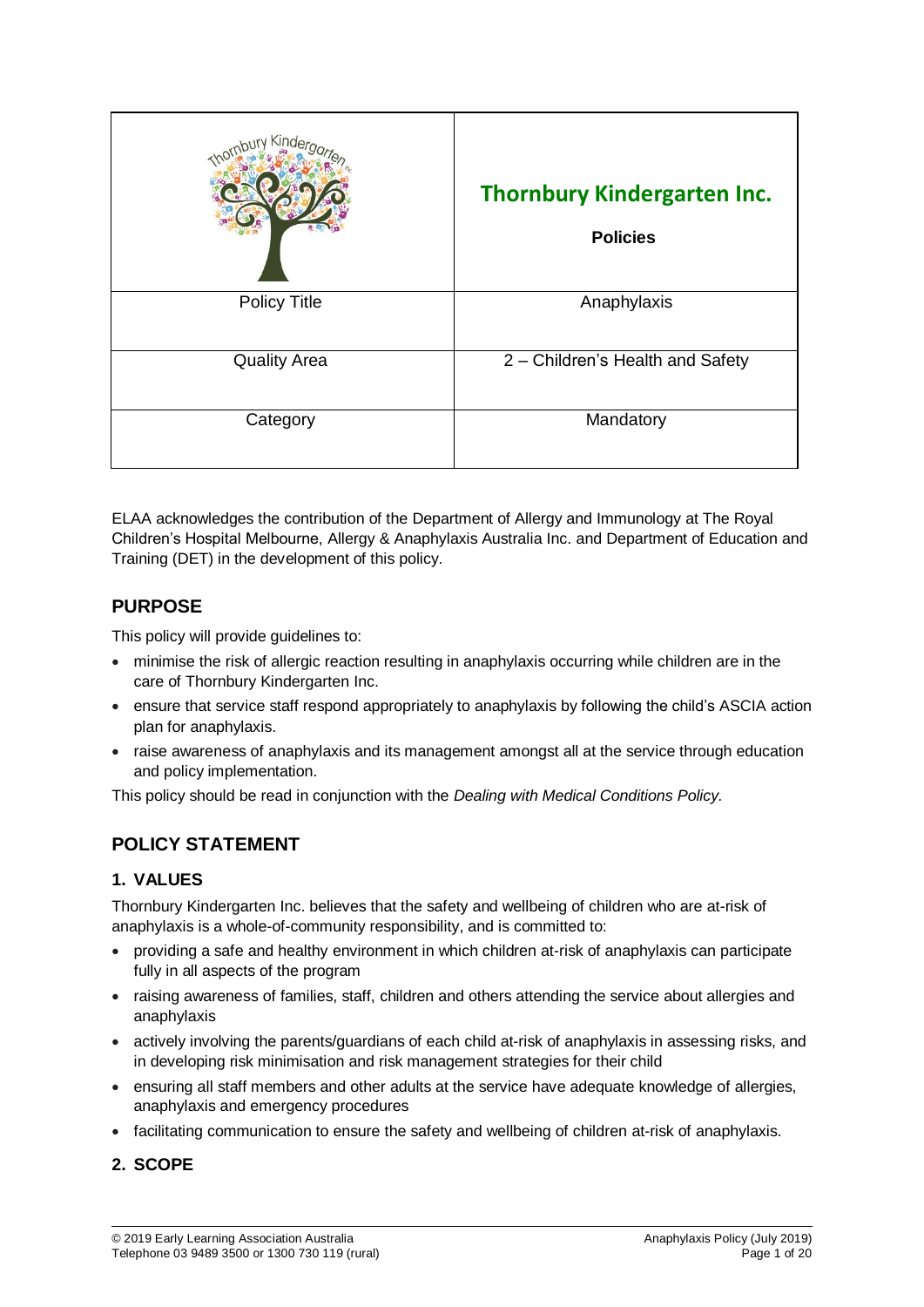| Kinde               | <b>Thornbury Kindergarten Inc.</b><br><b>Policies</b> |
|---------------------|-------------------------------------------------------|
| <b>Policy Title</b> | Anaphylaxis                                           |
| <b>Quality Area</b> | 2 - Children's Health and Safety                      |
| Category            | Mandatory                                             |

ELAA acknowledges the contribution of the Department of Allergy and Immunology at The Royal Children's Hospital Melbourne, Allergy & Anaphylaxis Australia Inc. and Department of Education and Training (DET) in the development of this policy.

# **PURPOSE**

This policy will provide guidelines to:

- minimise the risk of allergic reaction resulting in anaphylaxis occurring while children are in the care of Thornbury Kindergarten Inc.
- ensure that service staff respond appropriately to anaphylaxis by following the child's ASCIA action plan for anaphylaxis.
- raise awareness of anaphylaxis and its management amongst all at the service through education and policy implementation.

This policy should be read in conjunction with the *Dealing with Medical Conditions Policy.*

# **POLICY STATEMENT**

# **1. VALUES**

Thornbury Kindergarten Inc. believes that the safety and wellbeing of children who are at-risk of anaphylaxis is a whole-of-community responsibility, and is committed to:

- providing a safe and healthy environment in which children at-risk of anaphylaxis can participate fully in all aspects of the program
- raising awareness of families, staff, children and others attending the service about allergies and anaphylaxis
- actively involving the parents/guardians of each child at-risk of anaphylaxis in assessing risks, and in developing risk minimisation and risk management strategies for their child
- ensuring all staff members and other adults at the service have adequate knowledge of allergies, anaphylaxis and emergency procedures
- facilitating communication to ensure the safety and wellbeing of children at-risk of anaphylaxis.

## **2. SCOPE**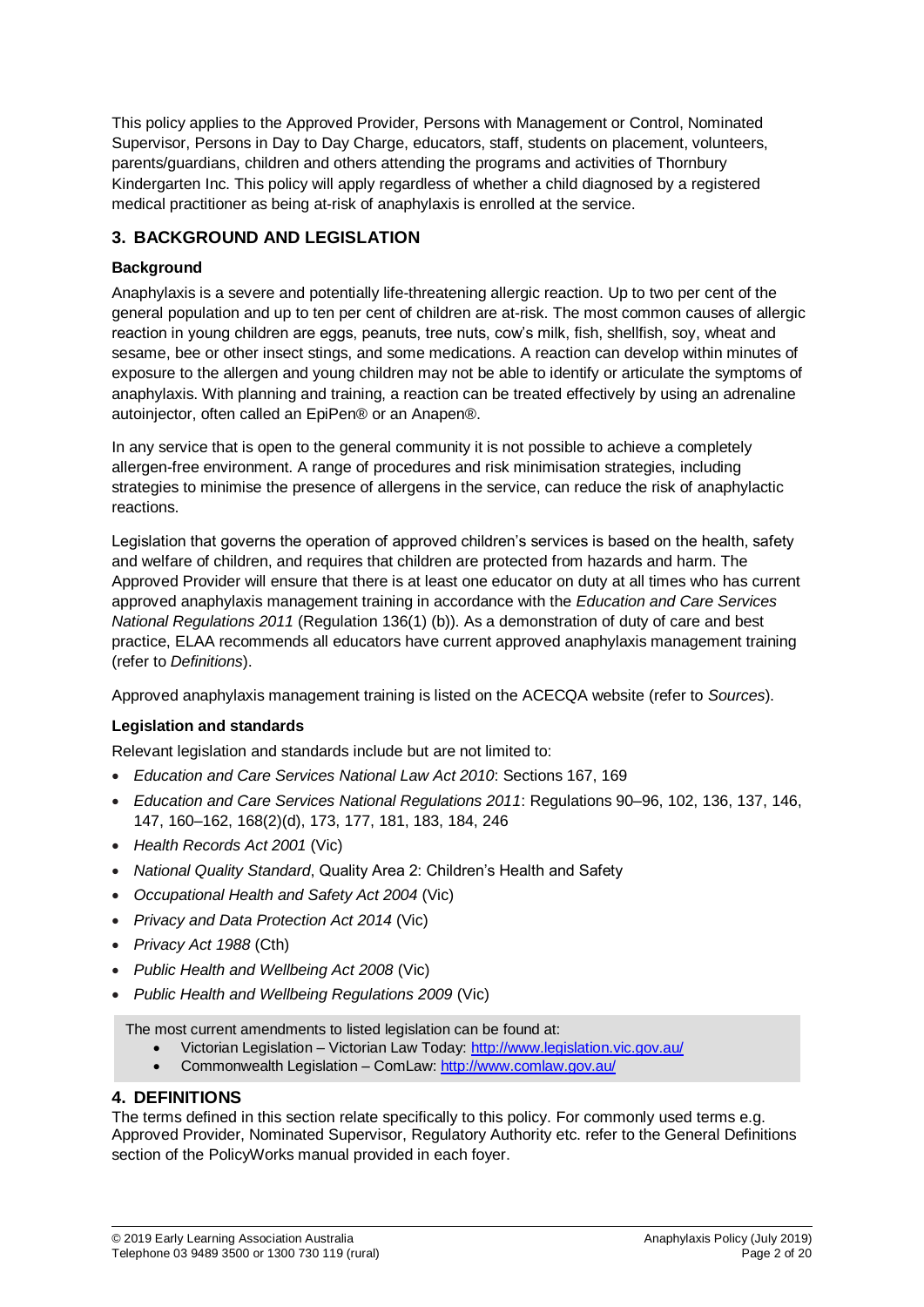This policy applies to the Approved Provider, Persons with Management or Control, Nominated Supervisor, Persons in Day to Day Charge, educators, staff, students on placement, volunteers, parents/guardians, children and others attending the programs and activities of Thornbury Kindergarten Inc. This policy will apply regardless of whether a child diagnosed by a registered medical practitioner as being at-risk of anaphylaxis is enrolled at the service.

## **3. BACKGROUND AND LEGISLATION**

## **Background**

Anaphylaxis is a severe and potentially life-threatening allergic reaction. Up to two per cent of the general population and up to ten per cent of children are at-risk. The most common causes of allergic reaction in young children are eggs, peanuts, tree nuts, cow's milk, fish, shellfish, soy, wheat and sesame, bee or other insect stings, and some medications. A reaction can develop within minutes of exposure to the allergen and young children may not be able to identify or articulate the symptoms of anaphylaxis. With planning and training, a reaction can be treated effectively by using an adrenaline autoinjector, often called an EpiPen® or an Anapen®.

In any service that is open to the general community it is not possible to achieve a completely allergen-free environment. A range of procedures and risk minimisation strategies, including strategies to minimise the presence of allergens in the service, can reduce the risk of anaphylactic reactions.

Legislation that governs the operation of approved children's services is based on the health, safety and welfare of children, and requires that children are protected from hazards and harm. The Approved Provider will ensure that there is at least one educator on duty at all times who has current approved anaphylaxis management training in accordance with the *Education and Care Services National Regulations 2011* (Regulation 136(1) (b)). As a demonstration of duty of care and best practice, ELAA recommends all educators have current approved anaphylaxis management training (refer to *Definitions*).

Approved anaphylaxis management training is listed on the ACECQA website (refer to *Sources*).

## **Legislation and standards**

Relevant legislation and standards include but are not limited to:

- *Education and Care Services National Law Act 2010*: Sections 167, 169
- *Education and Care Services National Regulations 2011*: Regulations 90–96, 102, 136, 137, 146, 147, 160–162, 168(2)(d), 173, 177, 181, 183, 184, 246
- *Health Records Act 2001* (Vic)
- *National Quality Standard*, Quality Area 2: Children's Health and Safety
- *Occupational Health and Safety Act 2004* (Vic)
- *Privacy and Data Protection Act 2014* (Vic)
- *Privacy Act 1988* (Cth)
- *Public Health and Wellbeing Act 2008* (Vic)
- *Public Health and Wellbeing Regulations 2009* (Vic)

The most current amendments to listed legislation can be found at:

- Victorian Legislation Victorian Law Today:<http://www.legislation.vic.gov.au/>
- Commonwealth Legislation ComLaw:<http://www.comlaw.gov.au/>

## **4. DEFINITIONS**

The terms defined in this section relate specifically to this policy. For commonly used terms e.g. Approved Provider, Nominated Supervisor, Regulatory Authority etc. refer to the General Definitions section of the PolicyWorks manual provided in each foyer.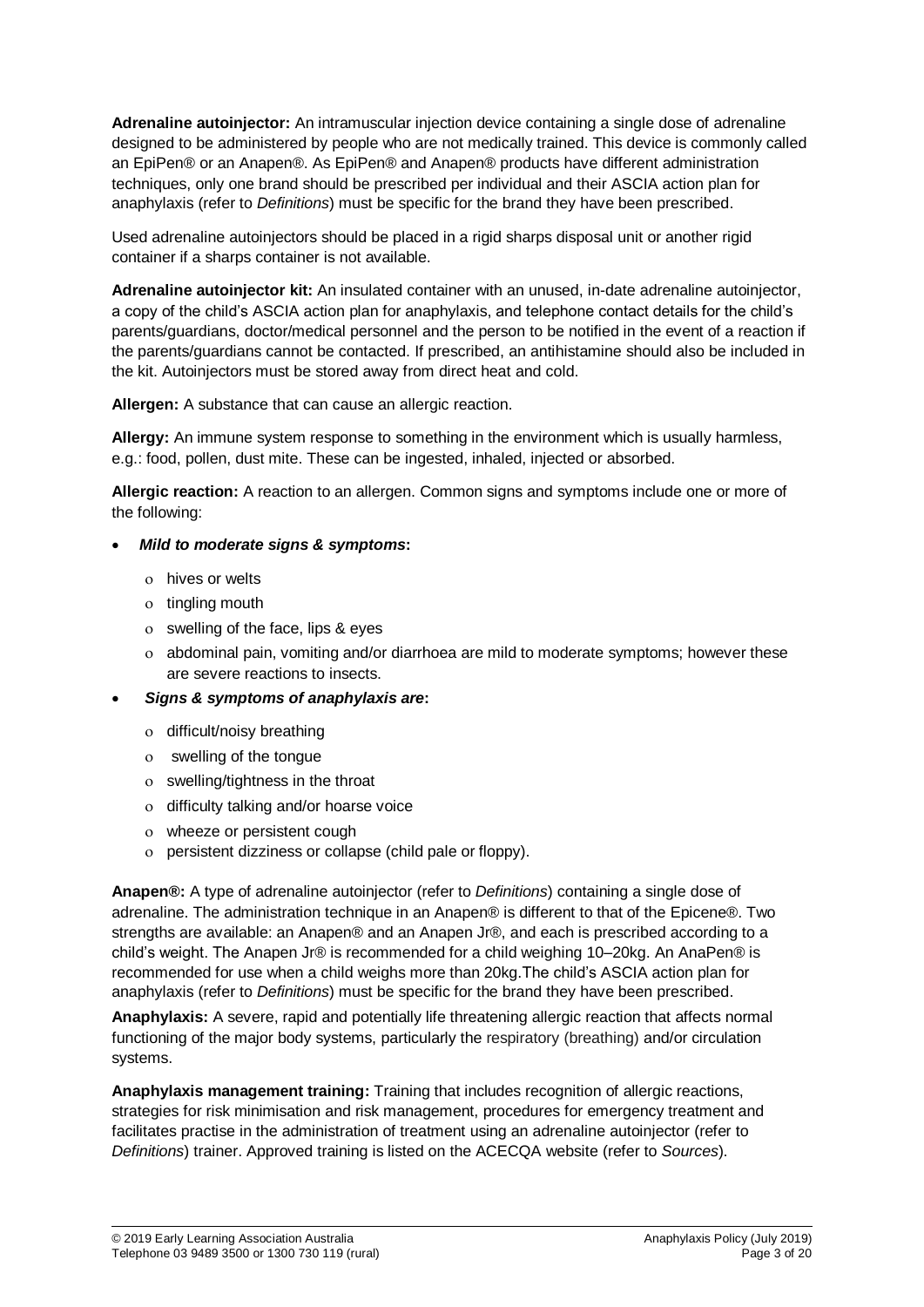**Adrenaline autoinjector:** An intramuscular injection device containing a single dose of adrenaline designed to be administered by people who are not medically trained. This device is commonly called an EpiPen® or an Anapen®. As EpiPen® and Anapen® products have different administration techniques, only one brand should be prescribed per individual and their ASCIA action plan for anaphylaxis (refer to *Definitions*) must be specific for the brand they have been prescribed.

Used adrenaline autoinjectors should be placed in a rigid sharps disposal unit or another rigid container if a sharps container is not available.

**Adrenaline autoinjector kit:** An insulated container with an unused, in-date adrenaline autoinjector, a copy of the child's ASCIA action plan for anaphylaxis, and telephone contact details for the child's parents/guardians, doctor/medical personnel and the person to be notified in the event of a reaction if the parents/guardians cannot be contacted. If prescribed, an antihistamine should also be included in the kit. Autoinjectors must be stored away from direct heat and cold.

**Allergen:** A substance that can cause an allergic reaction.

**Allergy:** An immune system response to something in the environment which is usually harmless, e.g.: food, pollen, dust mite. These can be ingested, inhaled, injected or absorbed.

**Allergic reaction:** A reaction to an allergen. Common signs and symptoms include one or more of the following:

#### *Mild to moderate signs & symptoms***:**

- hives or welts
- o tingling mouth
- swelling of the face, lips & eyes
- abdominal pain, vomiting and/or diarrhoea are mild to moderate symptoms; however these are severe reactions to insects.
- *Signs & symptoms of anaphylaxis are***:**
	- o difficult/noisy breathing
	- swelling of the tongue
	- swelling/tightness in the throat
	- o difficulty talking and/or hoarse voice
	- wheeze or persistent cough
	- persistent dizziness or collapse (child pale or floppy).

**Anapen®:** A type of adrenaline autoinjector (refer to *Definitions*) containing a single dose of adrenaline. The administration technique in an Anapen® is different to that of the Epicene®. Two strengths are available: an Anapen® and an Anapen Jr®, and each is prescribed according to a child's weight. The Anapen Jr® is recommended for a child weighing 10–20kg. An AnaPen® is recommended for use when a child weighs more than 20kg.The child's ASCIA action plan for anaphylaxis (refer to *Definitions*) must be specific for the brand they have been prescribed.

**Anaphylaxis:** A severe, rapid and potentially life threatening allergic reaction that affects normal functioning of the major body systems, particularly the respiratory (breathing) and/or circulation systems.

**Anaphylaxis management training:** Training that includes recognition of allergic reactions, strategies for risk minimisation and risk management, procedures for emergency treatment and facilitates practise in the administration of treatment using an adrenaline autoinjector (refer to *Definitions*) trainer. Approved training is listed on the ACECQA website (refer to *Sources*).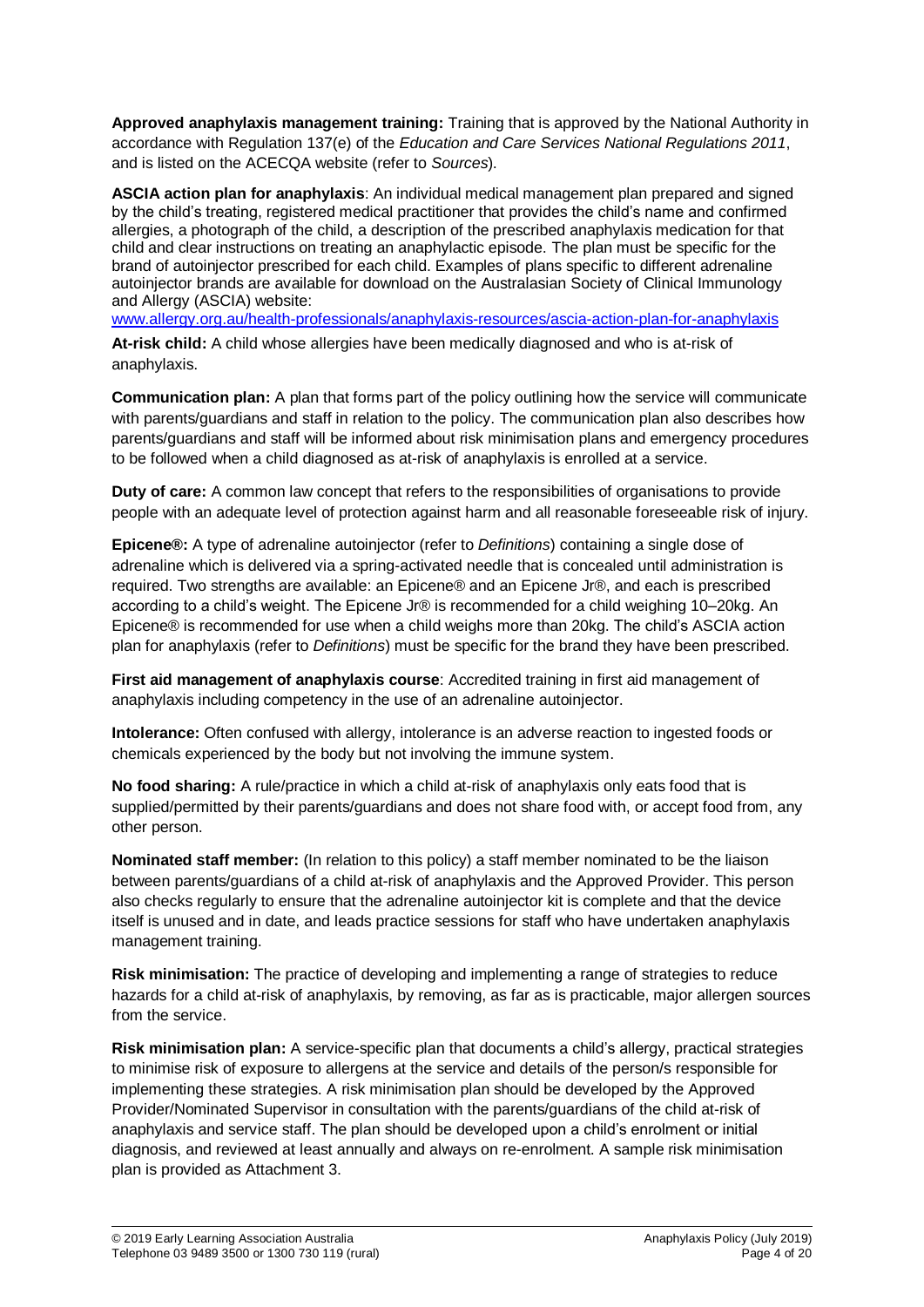**Approved anaphylaxis management training:** Training that is approved by the National Authority in accordance with Regulation 137(e) of the *Education and Care Services National Regulations 2011*, and is listed on the ACECQA website (refer to *Sources*).

**ASCIA action plan for anaphylaxis**: An individual medical management plan prepared and signed by the child's treating, registered medical practitioner that provides the child's name and confirmed allergies, a photograph of the child, a description of the prescribed anaphylaxis medication for that child and clear instructions on treating an anaphylactic episode. The plan must be specific for the brand of autoinjector prescribed for each child. Examples of plans specific to different adrenaline autoinjector brands are available for download on the Australasian Society of Clinical Immunology and Allergy (ASCIA) website:

[www.allergy.org.au/health-professionals/anaphylaxis-resources/ascia-action-plan-for-anaphylaxis](http://www.allergy.org.au/health-professionals/anaphylaxis-resources/ascia-action-plan-for-anaphylaxis)

**At-risk child:** A child whose allergies have been medically diagnosed and who is at-risk of anaphylaxis.

**Communication plan:** A plan that forms part of the policy outlining how the service will communicate with parents/guardians and staff in relation to the policy. The communication plan also describes how parents/guardians and staff will be informed about risk minimisation plans and emergency procedures to be followed when a child diagnosed as at-risk of anaphylaxis is enrolled at a service.

**Duty of care:** A common law concept that refers to the responsibilities of organisations to provide people with an adequate level of protection against harm and all reasonable foreseeable risk of injury.

**Epicene®:** A type of adrenaline autoinjector (refer to *Definitions*) containing a single dose of adrenaline which is delivered via a spring-activated needle that is concealed until administration is required. Two strengths are available: an Epicene® and an Epicene Jr®, and each is prescribed according to a child's weight. The Epicene Jr® is recommended for a child weighing 10–20kg. An Epicene® is recommended for use when a child weighs more than 20kg. The child's ASCIA action plan for anaphylaxis (refer to *Definitions*) must be specific for the brand they have been prescribed.

**First aid management of anaphylaxis course**: Accredited training in first aid management of anaphylaxis including competency in the use of an adrenaline autoinjector.

**Intolerance:** Often confused with allergy, intolerance is an adverse reaction to ingested foods or chemicals experienced by the body but not involving the immune system.

**No food sharing:** A rule/practice in which a child at-risk of anaphylaxis only eats food that is supplied/permitted by their parents/guardians and does not share food with, or accept food from, any other person.

**Nominated staff member:** (In relation to this policy) a staff member nominated to be the liaison between parents/guardians of a child at-risk of anaphylaxis and the Approved Provider. This person also checks regularly to ensure that the adrenaline autoinjector kit is complete and that the device itself is unused and in date, and leads practice sessions for staff who have undertaken anaphylaxis management training.

**Risk minimisation:** The practice of developing and implementing a range of strategies to reduce hazards for a child at-risk of anaphylaxis, by removing, as far as is practicable, major allergen sources from the service.

**Risk minimisation plan:** A service-specific plan that documents a child's allergy, practical strategies to minimise risk of exposure to allergens at the service and details of the person/s responsible for implementing these strategies. A risk minimisation plan should be developed by the Approved Provider/Nominated Supervisor in consultation with the parents/guardians of the child at-risk of anaphylaxis and service staff. The plan should be developed upon a child's enrolment or initial diagnosis, and reviewed at least annually and always on re-enrolment. A sample risk minimisation plan is provided as Attachment 3.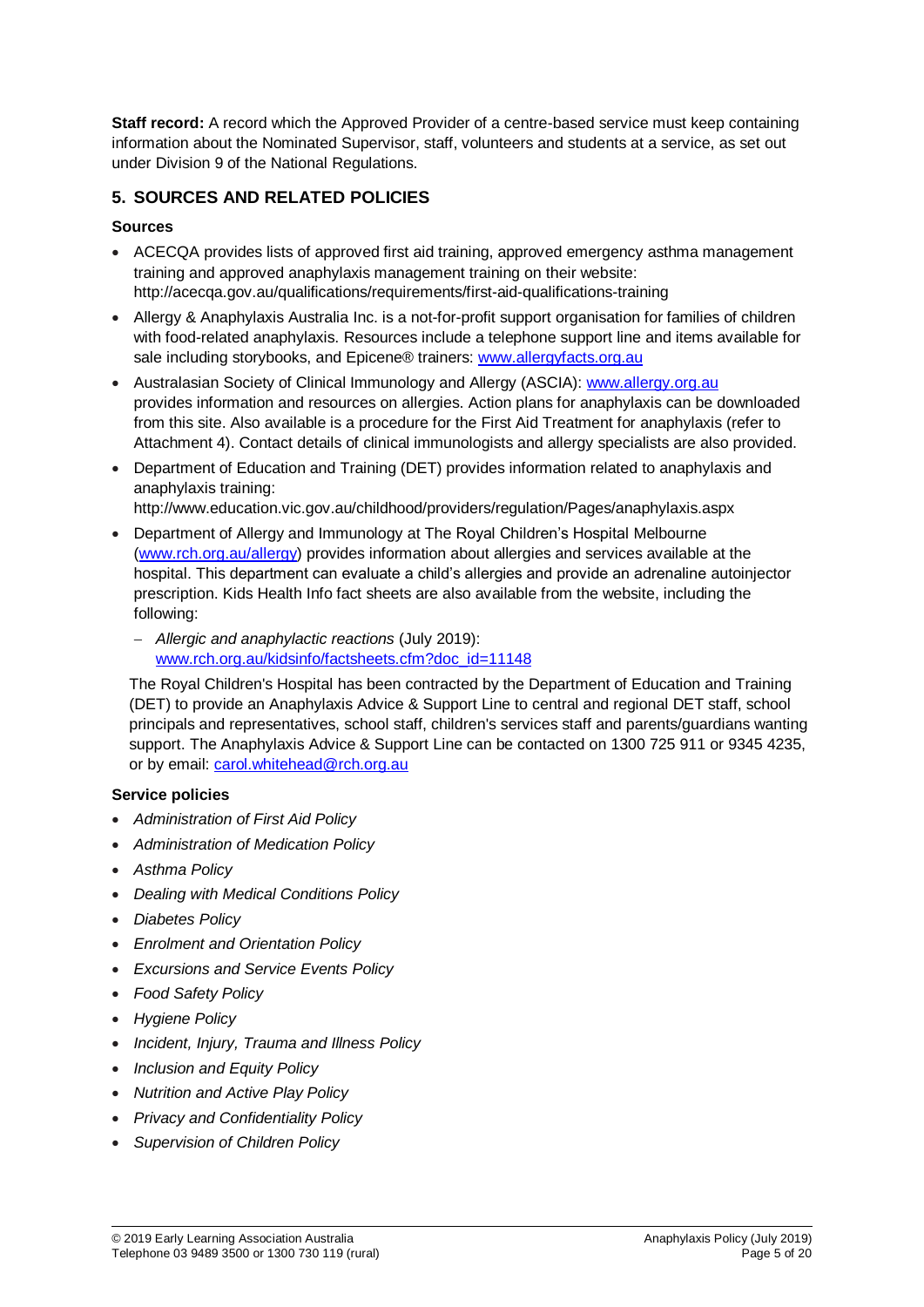**Staff record:** A record which the Approved Provider of a centre-based service must keep containing information about the Nominated Supervisor, staff, volunteers and students at a service, as set out under Division 9 of the National Regulations.

# **5. SOURCES AND RELATED POLICIES**

## **Sources**

- ACECQA provides lists of approved first aid training, approved emergency asthma management training and approved anaphylaxis management training on their website: http://acecqa.gov.au/qualifications/requirements/first-aid-qualifications-training
- Allergy & Anaphylaxis Australia Inc. is a not-for-profit support organisation for families of children with food-related anaphylaxis. Resources include a telephone support line and items available for sale including storybooks, and Epicene® trainers: [www.allergyfacts.org.au](http://www.allergyfacts.org.au/)
- Australasian Society of Clinical Immunology and Allergy (ASCIA): [www.allergy.org.au](http://www.allergy.org.au/) provides information and resources on allergies. Action plans for anaphylaxis can be downloaded from this site. Also available is a procedure for the First Aid Treatment for anaphylaxis (refer to Attachment 4). Contact details of clinical immunologists and allergy specialists are also provided.
- Department of Education and Training (DET) provides information related to anaphylaxis and anaphylaxis training:

http://www.education.vic.gov.au/childhood/providers/regulation/Pages/anaphylaxis.aspx

- Department of Allergy and Immunology at The Royal Children's Hospital Melbourne [\(www.rch.org.au/allergy\)](http://www.rch.org.au/allergy) provides information about allergies and services available at the hospital. This department can evaluate a child's allergies and provide an adrenaline autoinjector prescription. Kids Health Info fact sheets are also available from the website, including the following:
	- *Allergic and anaphylactic reactions* (July 2019): [www.rch.org.au/kidsinfo/factsheets.cfm?doc\\_id=11148](http://www.rch.org.au/kidsinfo/factsheets.cfm?doc_id=11148)

The Royal Children's Hospital has been contracted by the Department of Education and Training (DET) to provide an Anaphylaxis Advice & Support Line to central and regional DET staff, school principals and representatives, school staff, children's services staff and parents/guardians wanting support. The Anaphylaxis Advice & Support Line can be contacted on 1300 725 911 or 9345 4235, or by email: [carol.whitehead@rch.org.au](mailto:carol.whitehead@rch.org.au)

## **Service policies**

- *Administration of First Aid Policy*
- *Administration of Medication Policy*
- *Asthma Policy*
- *Dealing with Medical Conditions Policy*
- *Diabetes Policy*
- *Enrolment and Orientation Policy*
- *Excursions and Service Events Policy*
- *Food Safety Policy*
- *Hygiene Policy*
- *Incident, Injury, Trauma and Illness Policy*
- *Inclusion and Equity Policy*
- *Nutrition and Active Play Policy*
- *Privacy and Confidentiality Policy*
- *Supervision of Children Policy*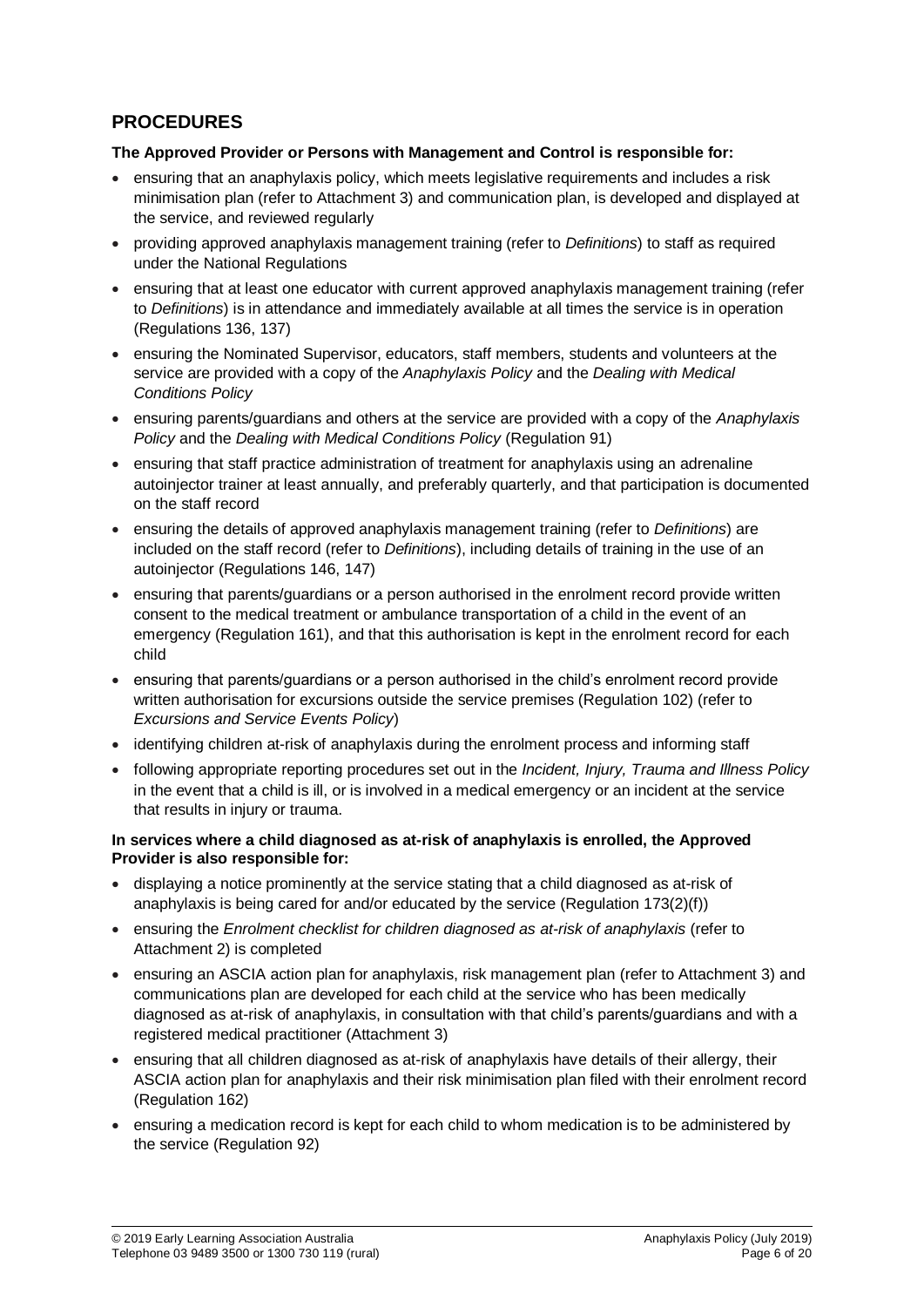# **PROCEDURES**

#### **The Approved Provider or Persons with Management and Control is responsible for:**

- ensuring that an anaphylaxis policy, which meets legislative requirements and includes a risk minimisation plan (refer to Attachment 3) and communication plan, is developed and displayed at the service, and reviewed regularly
- providing approved anaphylaxis management training (refer to *Definitions*) to staff as required under the National Regulations
- ensuring that at least one educator with current approved anaphylaxis management training (refer to *Definitions*) is in attendance and immediately available at all times the service is in operation (Regulations 136, 137)
- ensuring the Nominated Supervisor, educators, staff members, students and volunteers at the service are provided with a copy of the *Anaphylaxis Policy* and the *Dealing with Medical Conditions Policy*
- ensuring parents/guardians and others at the service are provided with a copy of the *Anaphylaxis Policy* and the *Dealing with Medical Conditions Policy* (Regulation 91)
- ensuring that staff practice administration of treatment for anaphylaxis using an adrenaline autoinjector trainer at least annually, and preferably quarterly, and that participation is documented on the staff record
- ensuring the details of approved anaphylaxis management training (refer to *Definitions*) are included on the staff record (refer to *Definitions*), including details of training in the use of an autoinjector (Regulations 146, 147)
- ensuring that parents/guardians or a person authorised in the enrolment record provide written consent to the medical treatment or ambulance transportation of a child in the event of an emergency (Regulation 161), and that this authorisation is kept in the enrolment record for each child
- ensuring that parents/guardians or a person authorised in the child's enrolment record provide written authorisation for excursions outside the service premises (Regulation 102) (refer to *Excursions and Service Events Policy*)
- identifying children at-risk of anaphylaxis during the enrolment process and informing staff
- following appropriate reporting procedures set out in the *Incident, Injury, Trauma and Illness Policy* in the event that a child is ill, or is involved in a medical emergency or an incident at the service that results in injury or trauma.

#### **In services where a child diagnosed as at-risk of anaphylaxis is enrolled, the Approved Provider is also responsible for:**

- displaying a notice prominently at the service stating that a child diagnosed as at-risk of anaphylaxis is being cared for and/or educated by the service (Regulation 173(2)(f))
- ensuring the *Enrolment checklist for children diagnosed as at-risk of anaphylaxis* (refer to Attachment 2) is completed
- ensuring an ASCIA action plan for anaphylaxis, risk management plan (refer to Attachment 3) and communications plan are developed for each child at the service who has been medically diagnosed as at-risk of anaphylaxis, in consultation with that child's parents/guardians and with a registered medical practitioner (Attachment 3)
- ensuring that all children diagnosed as at-risk of anaphylaxis have details of their allergy, their ASCIA action plan for anaphylaxis and their risk minimisation plan filed with their enrolment record (Regulation 162)
- ensuring a medication record is kept for each child to whom medication is to be administered by the service (Regulation 92)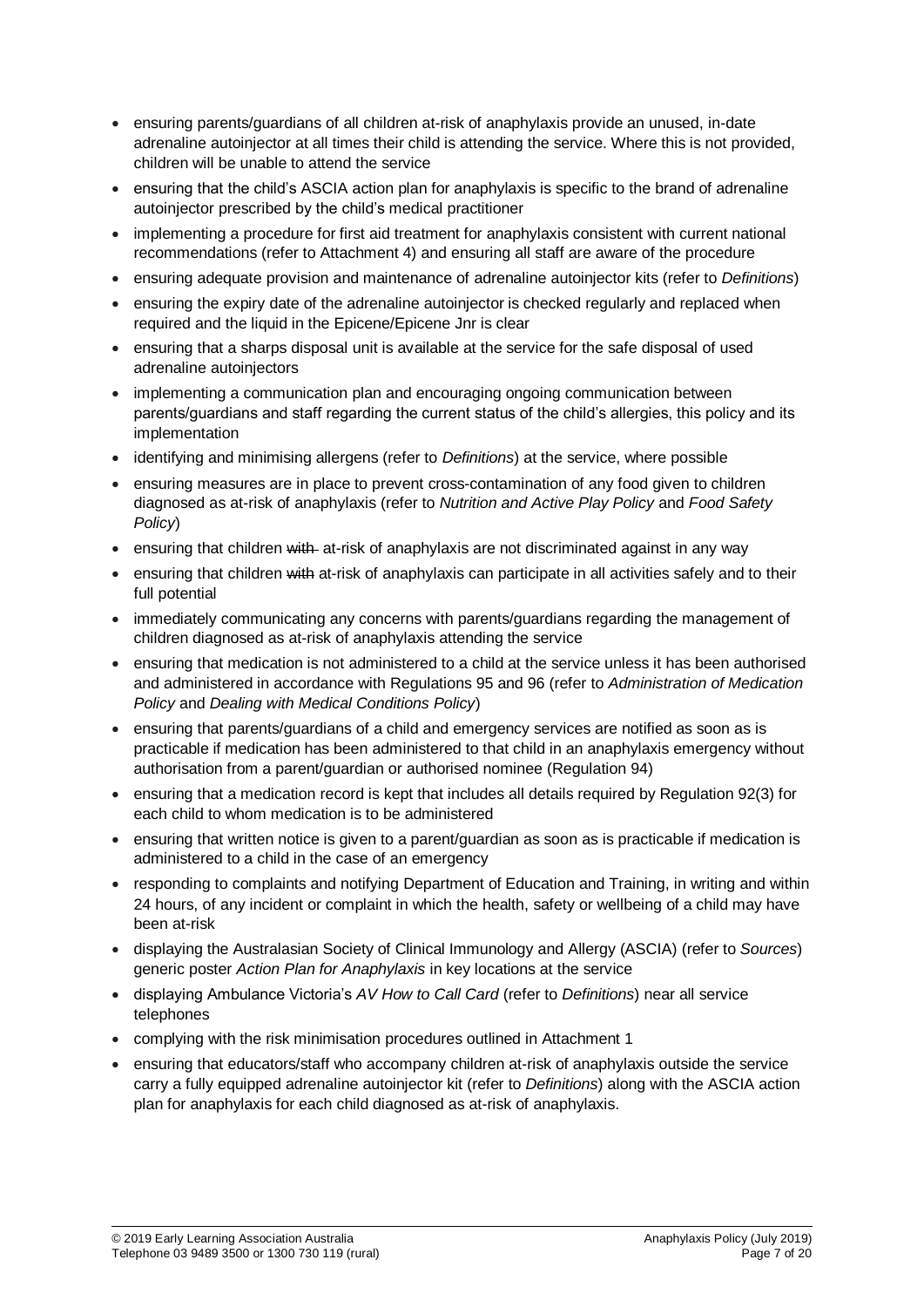- ensuring parents/guardians of all children at-risk of anaphylaxis provide an unused, in-date adrenaline autoinjector at all times their child is attending the service. Where this is not provided, children will be unable to attend the service
- ensuring that the child's ASCIA action plan for anaphylaxis is specific to the brand of adrenaline autoinjector prescribed by the child's medical practitioner
- implementing a procedure for first aid treatment for anaphylaxis consistent with current national recommendations (refer to Attachment 4) and ensuring all staff are aware of the procedure
- ensuring adequate provision and maintenance of adrenaline autoinjector kits (refer to *Definitions*)
- ensuring the expiry date of the adrenaline autoinjector is checked regularly and replaced when required and the liquid in the Epicene/Epicene Jnr is clear
- ensuring that a sharps disposal unit is available at the service for the safe disposal of used adrenaline autoinjectors
- implementing a communication plan and encouraging ongoing communication between parents/guardians and staff regarding the current status of the child's allergies, this policy and its implementation
- identifying and minimising allergens (refer to *Definitions*) at the service, where possible
- ensuring measures are in place to prevent cross-contamination of any food given to children diagnosed as at-risk of anaphylaxis (refer to *Nutrition and Active Play Policy* and *Food Safety Policy*)
- **EXECT** ensuring that children with at-risk of anaphylaxis are not discriminated against in any way
- ensuring that children with at-risk of anaphylaxis can participate in all activities safely and to their full potential
- immediately communicating any concerns with parents/guardians regarding the management of children diagnosed as at-risk of anaphylaxis attending the service
- ensuring that medication is not administered to a child at the service unless it has been authorised and administered in accordance with Regulations 95 and 96 (refer to *Administration of Medication Policy* and *Dealing with Medical Conditions Policy*)
- ensuring that parents/guardians of a child and emergency services are notified as soon as is practicable if medication has been administered to that child in an anaphylaxis emergency without authorisation from a parent/guardian or authorised nominee (Regulation 94)
- ensuring that a medication record is kept that includes all details required by Regulation 92(3) for each child to whom medication is to be administered
- ensuring that written notice is given to a parent/guardian as soon as is practicable if medication is administered to a child in the case of an emergency
- responding to complaints and notifying Department of Education and Training, in writing and within 24 hours, of any incident or complaint in which the health, safety or wellbeing of a child may have been at-risk
- displaying the Australasian Society of Clinical Immunology and Allergy (ASCIA) (refer to *Sources*) generic poster *Action Plan for Anaphylaxis* in key locations at the service
- displaying Ambulance Victoria's *AV How to Call Card* (refer to *Definitions*) near all service telephones
- complying with the risk minimisation procedures outlined in Attachment 1
- ensuring that educators/staff who accompany children at-risk of anaphylaxis outside the service carry a fully equipped adrenaline autoinjector kit (refer to *Definitions*) along with the ASCIA action plan for anaphylaxis for each child diagnosed as at-risk of anaphylaxis.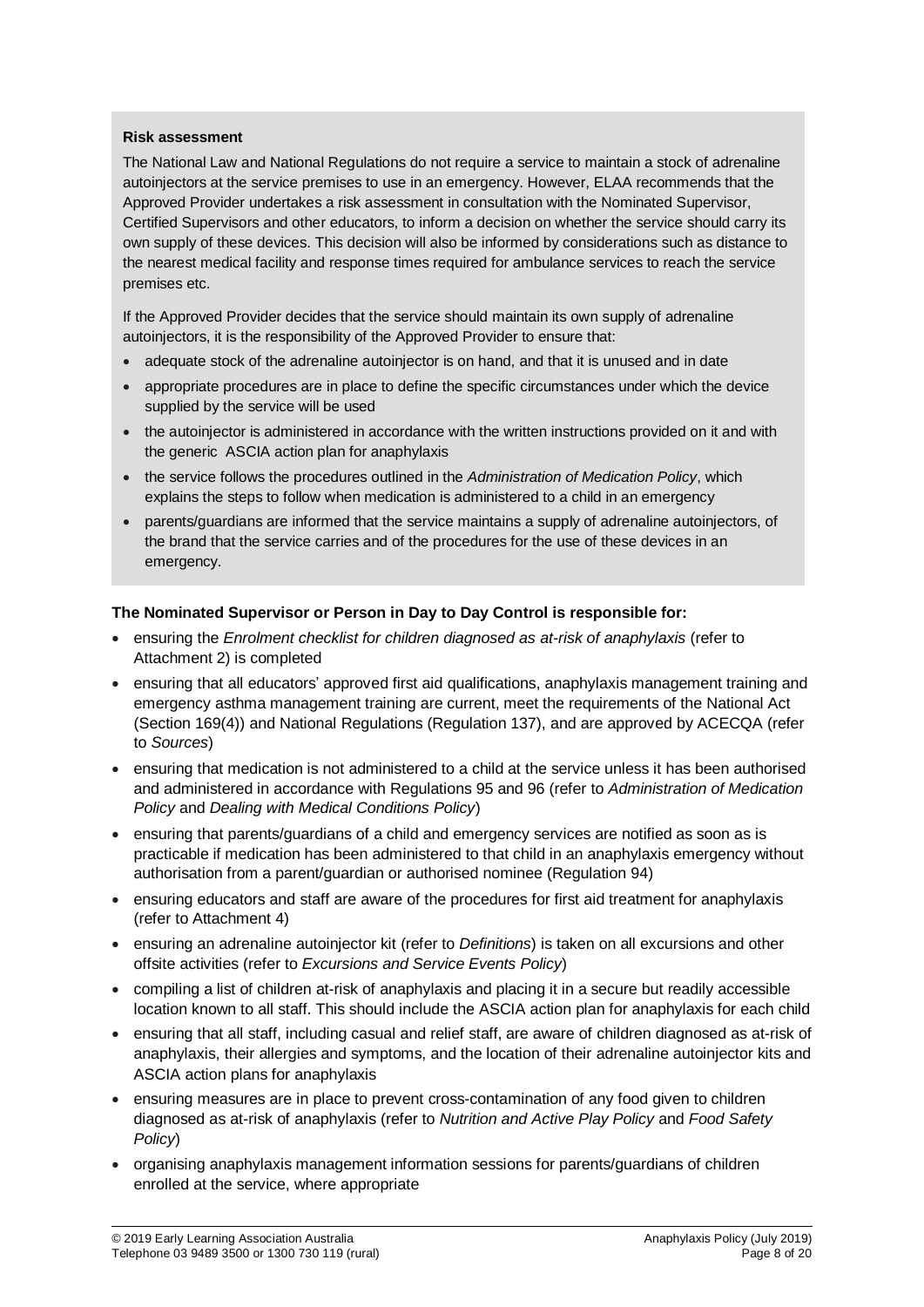#### **Risk assessment**

The National Law and National Regulations do not require a service to maintain a stock of adrenaline autoinjectors at the service premises to use in an emergency. However, ELAA recommends that the Approved Provider undertakes a risk assessment in consultation with the Nominated Supervisor, Certified Supervisors and other educators, to inform a decision on whether the service should carry its own supply of these devices. This decision will also be informed by considerations such as distance to the nearest medical facility and response times required for ambulance services to reach the service premises etc.

If the Approved Provider decides that the service should maintain its own supply of adrenaline autoinjectors, it is the responsibility of the Approved Provider to ensure that:

- adequate stock of the adrenaline autoinjector is on hand, and that it is unused and in date
- appropriate procedures are in place to define the specific circumstances under which the device supplied by the service will be used
- the autoinjector is administered in accordance with the written instructions provided on it and with the generic ASCIA action plan for anaphylaxis
- the service follows the procedures outlined in the *Administration of Medication Policy*, which explains the steps to follow when medication is administered to a child in an emergency
- parents/guardians are informed that the service maintains a supply of adrenaline autoinjectors, of the brand that the service carries and of the procedures for the use of these devices in an emergency.

#### **The Nominated Supervisor or Person in Day to Day Control is responsible for:**

- ensuring the *Enrolment checklist for children diagnosed as at-risk of anaphylaxis* (refer to Attachment 2) is completed
- ensuring that all educators' approved first aid qualifications, anaphylaxis management training and emergency asthma management training are current, meet the requirements of the National Act (Section 169(4)) and National Regulations (Regulation 137), and are approved by ACECQA (refer to *Sources*)
- ensuring that medication is not administered to a child at the service unless it has been authorised and administered in accordance with Regulations 95 and 96 (refer to *Administration of Medication Policy* and *Dealing with Medical Conditions Policy*)
- ensuring that parents/guardians of a child and emergency services are notified as soon as is practicable if medication has been administered to that child in an anaphylaxis emergency without authorisation from a parent/guardian or authorised nominee (Regulation 94)
- ensuring educators and staff are aware of the procedures for first aid treatment for anaphylaxis (refer to Attachment 4)
- ensuring an adrenaline autoinjector kit (refer to *Definitions*) is taken on all excursions and other offsite activities (refer to *Excursions and Service Events Policy*)
- compiling a list of children at-risk of anaphylaxis and placing it in a secure but readily accessible location known to all staff. This should include the ASCIA action plan for anaphylaxis for each child
- ensuring that all staff, including casual and relief staff, are aware of children diagnosed as at-risk of anaphylaxis, their allergies and symptoms, and the location of their adrenaline autoinjector kits and ASCIA action plans for anaphylaxis
- ensuring measures are in place to prevent cross-contamination of any food given to children diagnosed as at-risk of anaphylaxis (refer to *Nutrition and Active Play Policy* and *Food Safety Policy*)
- organising anaphylaxis management information sessions for parents/guardians of children enrolled at the service, where appropriate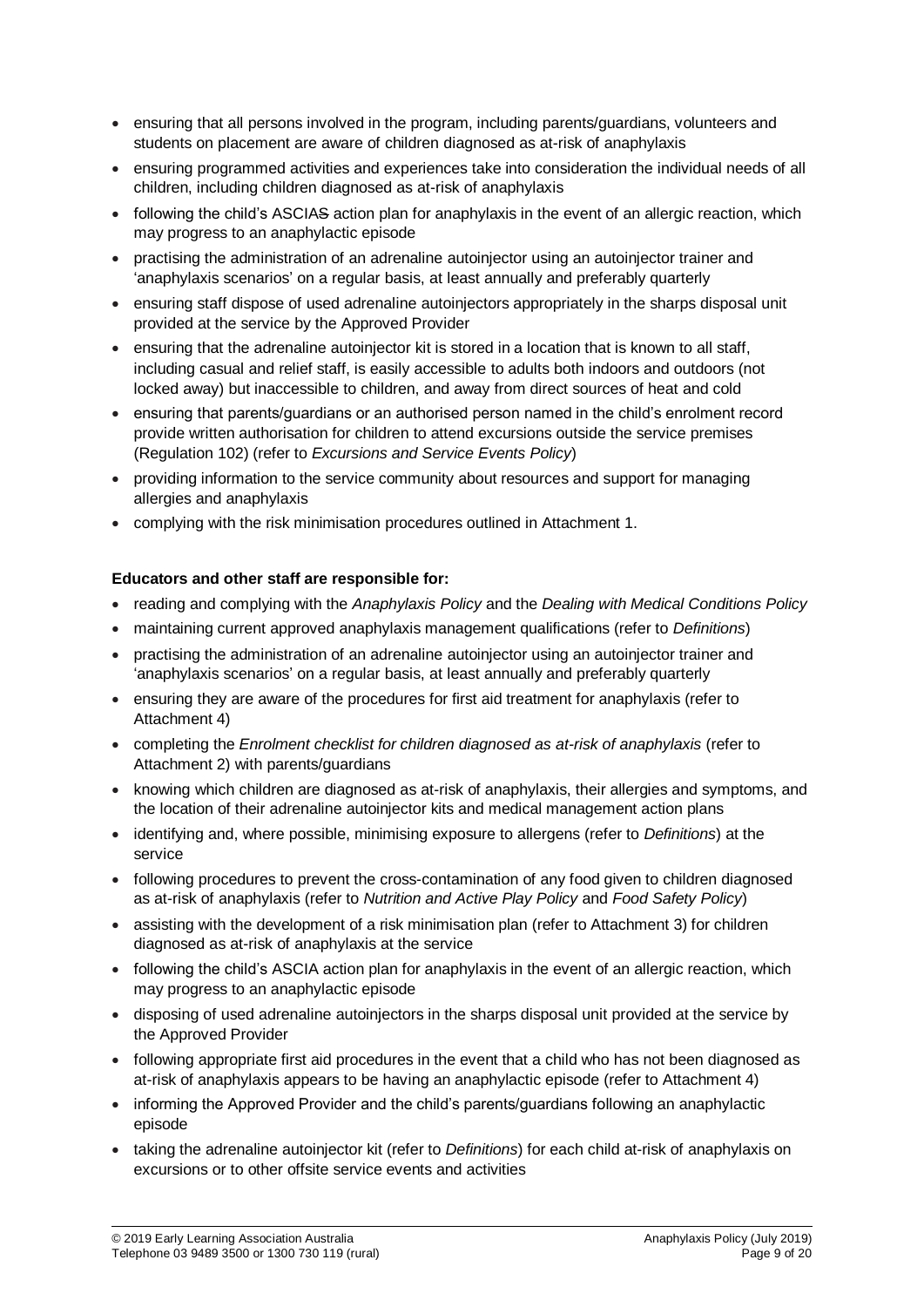- ensuring that all persons involved in the program, including parents/guardians, volunteers and students on placement are aware of children diagnosed as at-risk of anaphylaxis
- ensuring programmed activities and experiences take into consideration the individual needs of all children, including children diagnosed as at-risk of anaphylaxis
- following the child's ASCIAS action plan for anaphylaxis in the event of an allergic reaction, which may progress to an anaphylactic episode
- practising the administration of an adrenaline autoinjector using an autoinjector trainer and 'anaphylaxis scenarios' on a regular basis, at least annually and preferably quarterly
- ensuring staff dispose of used adrenaline autoinjectors appropriately in the sharps disposal unit provided at the service by the Approved Provider
- ensuring that the adrenaline autoinjector kit is stored in a location that is known to all staff, including casual and relief staff, is easily accessible to adults both indoors and outdoors (not locked away) but inaccessible to children, and away from direct sources of heat and cold
- ensuring that parents/guardians or an authorised person named in the child's enrolment record provide written authorisation for children to attend excursions outside the service premises (Regulation 102) (refer to *Excursions and Service Events Policy*)
- providing information to the service community about resources and support for managing allergies and anaphylaxis
- complying with the risk minimisation procedures outlined in Attachment 1.

## **Educators and other staff are responsible for:**

- reading and complying with the *Anaphylaxis Policy* and the *Dealing with Medical Conditions Policy*
- maintaining current approved anaphylaxis management qualifications (refer to *Definitions*)
- practising the administration of an adrenaline autoinjector using an autoinjector trainer and 'anaphylaxis scenarios' on a regular basis, at least annually and preferably quarterly
- ensuring they are aware of the procedures for first aid treatment for anaphylaxis (refer to Attachment 4)
- completing the *Enrolment checklist for children diagnosed as at-risk of anaphylaxis* (refer to Attachment 2) with parents/guardians
- knowing which children are diagnosed as at-risk of anaphylaxis, their allergies and symptoms, and the location of their adrenaline autoinjector kits and medical management action plans
- identifying and, where possible, minimising exposure to allergens (refer to *Definitions*) at the service
- following procedures to prevent the cross-contamination of any food given to children diagnosed as at-risk of anaphylaxis (refer to *Nutrition and Active Play Policy* and *Food Safety Policy*)
- assisting with the development of a risk minimisation plan (refer to Attachment 3) for children diagnosed as at-risk of anaphylaxis at the service
- following the child's ASCIA action plan for anaphylaxis in the event of an allergic reaction, which may progress to an anaphylactic episode
- disposing of used adrenaline autoinjectors in the sharps disposal unit provided at the service by the Approved Provider
- following appropriate first aid procedures in the event that a child who has not been diagnosed as at-risk of anaphylaxis appears to be having an anaphylactic episode (refer to Attachment 4)
- informing the Approved Provider and the child's parents/guardians following an anaphylactic episode
- taking the adrenaline autoinjector kit (refer to *Definitions*) for each child at-risk of anaphylaxis on excursions or to other offsite service events and activities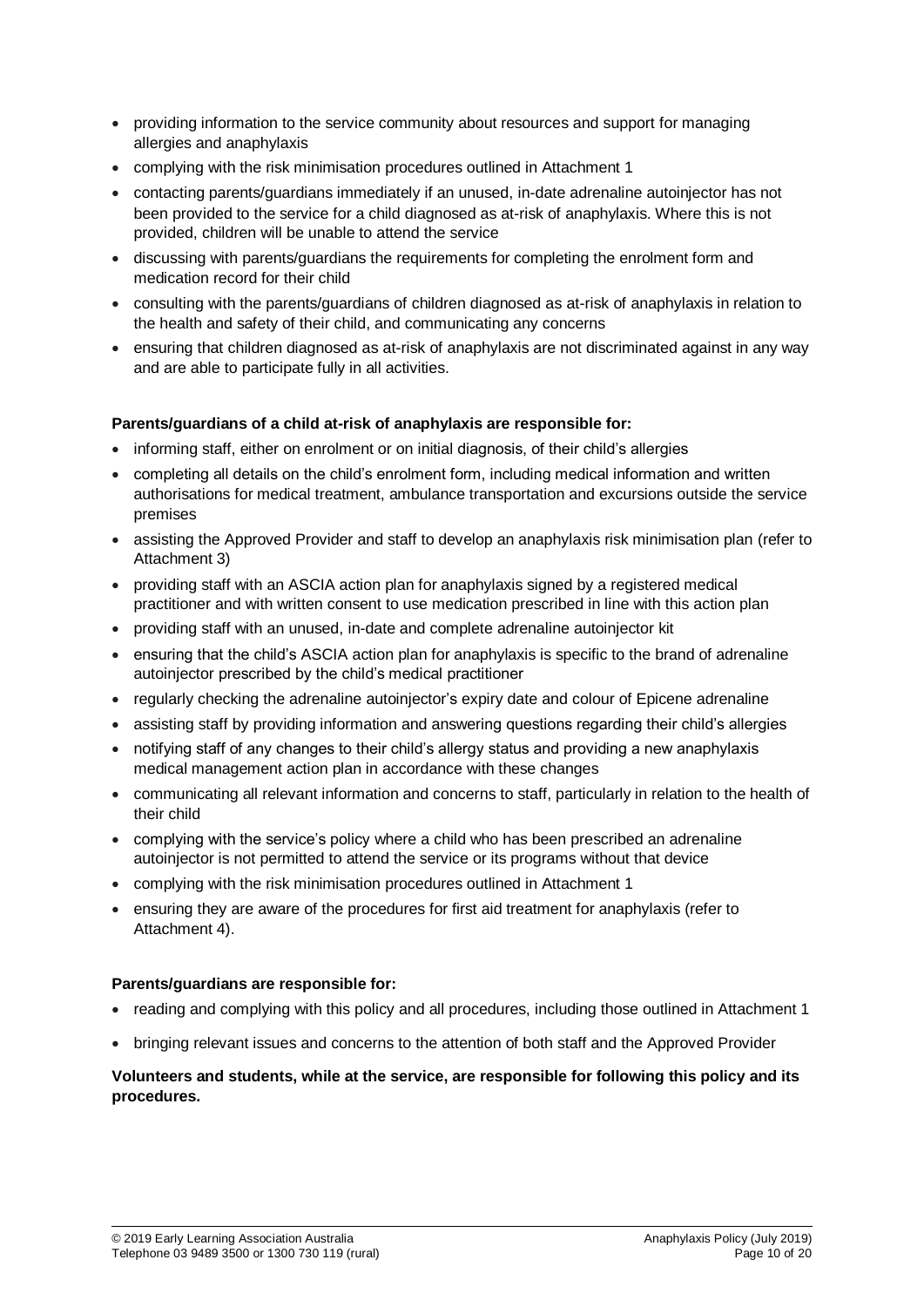- providing information to the service community about resources and support for managing allergies and anaphylaxis
- complying with the risk minimisation procedures outlined in Attachment 1
- contacting parents/guardians immediately if an unused, in-date adrenaline autoinjector has not been provided to the service for a child diagnosed as at-risk of anaphylaxis. Where this is not provided, children will be unable to attend the service
- discussing with parents/guardians the requirements for completing the enrolment form and medication record for their child
- consulting with the parents/guardians of children diagnosed as at-risk of anaphylaxis in relation to the health and safety of their child, and communicating any concerns
- ensuring that children diagnosed as at-risk of anaphylaxis are not discriminated against in any way and are able to participate fully in all activities.

## **Parents/guardians of a child at-risk of anaphylaxis are responsible for:**

- informing staff, either on enrolment or on initial diagnosis, of their child's allergies
- completing all details on the child's enrolment form, including medical information and written authorisations for medical treatment, ambulance transportation and excursions outside the service premises
- assisting the Approved Provider and staff to develop an anaphylaxis risk minimisation plan (refer to Attachment 3)
- providing staff with an ASCIA action plan for anaphylaxis signed by a registered medical practitioner and with written consent to use medication prescribed in line with this action plan
- providing staff with an unused, in-date and complete adrenaline autoinjector kit
- ensuring that the child's ASCIA action plan for anaphylaxis is specific to the brand of adrenaline autoinjector prescribed by the child's medical practitioner
- regularly checking the adrenaline autoinjector's expiry date and colour of Epicene adrenaline
- assisting staff by providing information and answering questions regarding their child's allergies
- notifying staff of any changes to their child's allergy status and providing a new anaphylaxis medical management action plan in accordance with these changes
- communicating all relevant information and concerns to staff, particularly in relation to the health of their child
- complying with the service's policy where a child who has been prescribed an adrenaline autoinjector is not permitted to attend the service or its programs without that device
- complying with the risk minimisation procedures outlined in Attachment 1
- ensuring they are aware of the procedures for first aid treatment for anaphylaxis (refer to Attachment 4).

#### **Parents/guardians are responsible for:**

- reading and complying with this policy and all procedures, including those outlined in Attachment 1
- bringing relevant issues and concerns to the attention of both staff and the Approved Provider

## **Volunteers and students, while at the service, are responsible for following this policy and its procedures.**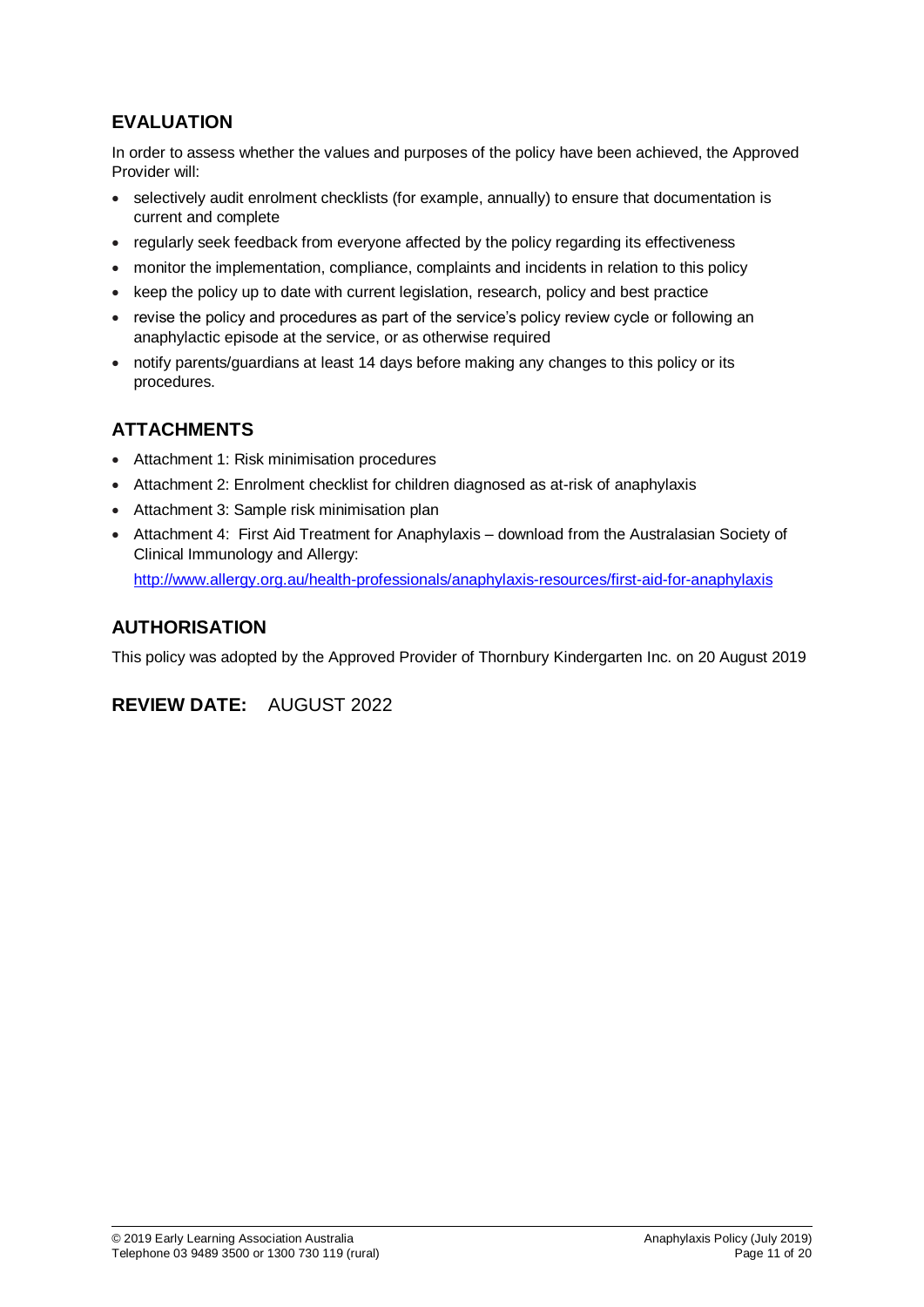# **EVALUATION**

In order to assess whether the values and purposes of the policy have been achieved, the Approved Provider will:

- selectively audit enrolment checklists (for example, annually) to ensure that documentation is current and complete
- regularly seek feedback from everyone affected by the policy regarding its effectiveness
- monitor the implementation, compliance, complaints and incidents in relation to this policy
- keep the policy up to date with current legislation, research, policy and best practice
- revise the policy and procedures as part of the service's policy review cycle or following an anaphylactic episode at the service, or as otherwise required
- notify parents/guardians at least 14 days before making any changes to this policy or its procedures.

# **ATTACHMENTS**

- Attachment 1: Risk minimisation procedures
- Attachment 2: Enrolment checklist for children diagnosed as at-risk of anaphylaxis
- Attachment 3: Sample risk minimisation plan
- Attachment 4: First Aid Treatment for Anaphylaxis download from the Australasian Society of Clinical Immunology and Allergy: <http://www.allergy.org.au/health-professionals/anaphylaxis-resources/first-aid-for-anaphylaxis>

# **AUTHORISATION**

This policy was adopted by the Approved Provider of Thornbury Kindergarten Inc. on 20 August 2019

# **REVIEW DATE:** AUGUST 2022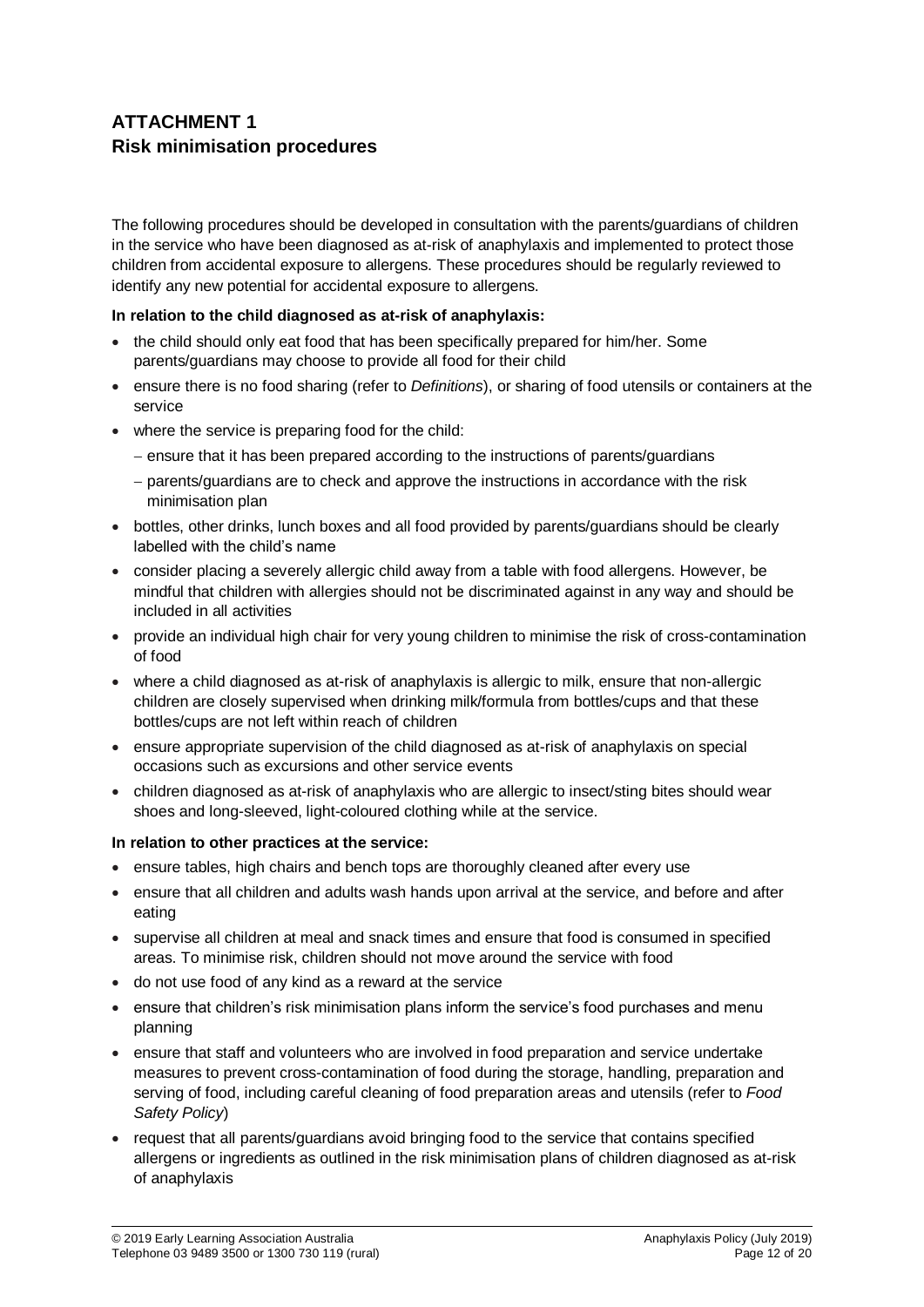# **ATTACHMENT 1 Risk minimisation procedures**

The following procedures should be developed in consultation with the parents/guardians of children in the service who have been diagnosed as at-risk of anaphylaxis and implemented to protect those children from accidental exposure to allergens. These procedures should be regularly reviewed to identify any new potential for accidental exposure to allergens.

## **In relation to the child diagnosed as at-risk of anaphylaxis:**

- the child should only eat food that has been specifically prepared for him/her. Some parents/guardians may choose to provide all food for their child
- ensure there is no food sharing (refer to *Definitions*), or sharing of food utensils or containers at the service
- where the service is preparing food for the child:
	- ensure that it has been prepared according to the instructions of parents/guardians
	- parents/guardians are to check and approve the instructions in accordance with the risk minimisation plan
- bottles, other drinks, lunch boxes and all food provided by parents/guardians should be clearly labelled with the child's name
- consider placing a severely allergic child away from a table with food allergens. However, be mindful that children with allergies should not be discriminated against in any way and should be included in all activities
- provide an individual high chair for very young children to minimise the risk of cross-contamination of food
- where a child diagnosed as at-risk of anaphylaxis is allergic to milk, ensure that non-allergic children are closely supervised when drinking milk/formula from bottles/cups and that these bottles/cups are not left within reach of children
- ensure appropriate supervision of the child diagnosed as at-risk of anaphylaxis on special occasions such as excursions and other service events
- children diagnosed as at-risk of anaphylaxis who are allergic to insect/sting bites should wear shoes and long-sleeved, light-coloured clothing while at the service.

## **In relation to other practices at the service:**

- ensure tables, high chairs and bench tops are thoroughly cleaned after every use
- ensure that all children and adults wash hands upon arrival at the service, and before and after eating
- supervise all children at meal and snack times and ensure that food is consumed in specified areas. To minimise risk, children should not move around the service with food
- do not use food of any kind as a reward at the service
- ensure that children's risk minimisation plans inform the service's food purchases and menu planning
- ensure that staff and volunteers who are involved in food preparation and service undertake measures to prevent cross-contamination of food during the storage, handling, preparation and serving of food, including careful cleaning of food preparation areas and utensils (refer to *Food Safety Policy*)
- request that all parents/guardians avoid bringing food to the service that contains specified allergens or ingredients as outlined in the risk minimisation plans of children diagnosed as at-risk of anaphylaxis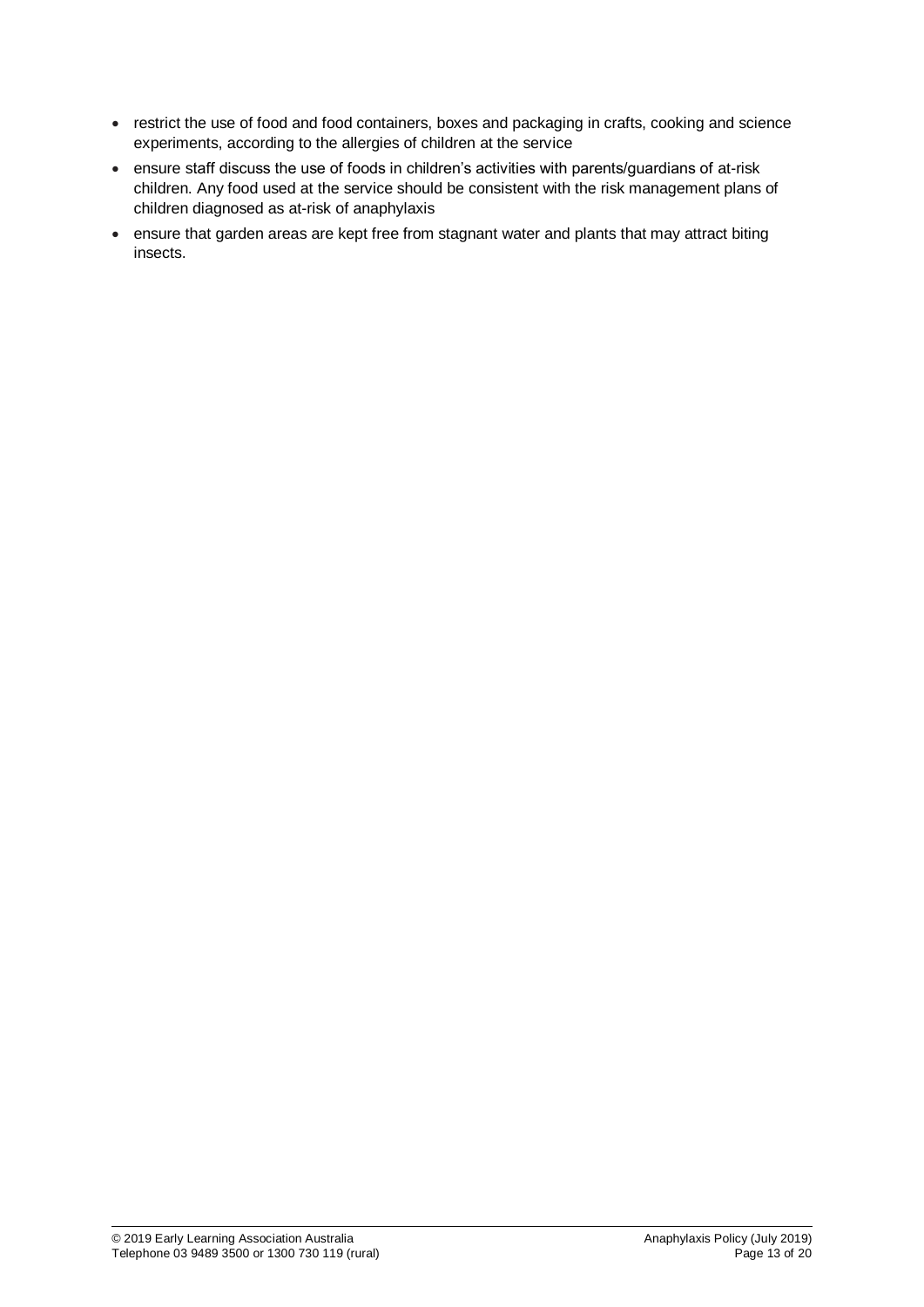- restrict the use of food and food containers, boxes and packaging in crafts, cooking and science experiments, according to the allergies of children at the service
- ensure staff discuss the use of foods in children's activities with parents/guardians of at-risk children. Any food used at the service should be consistent with the risk management plans of children diagnosed as at-risk of anaphylaxis
- ensure that garden areas are kept free from stagnant water and plants that may attract biting insects.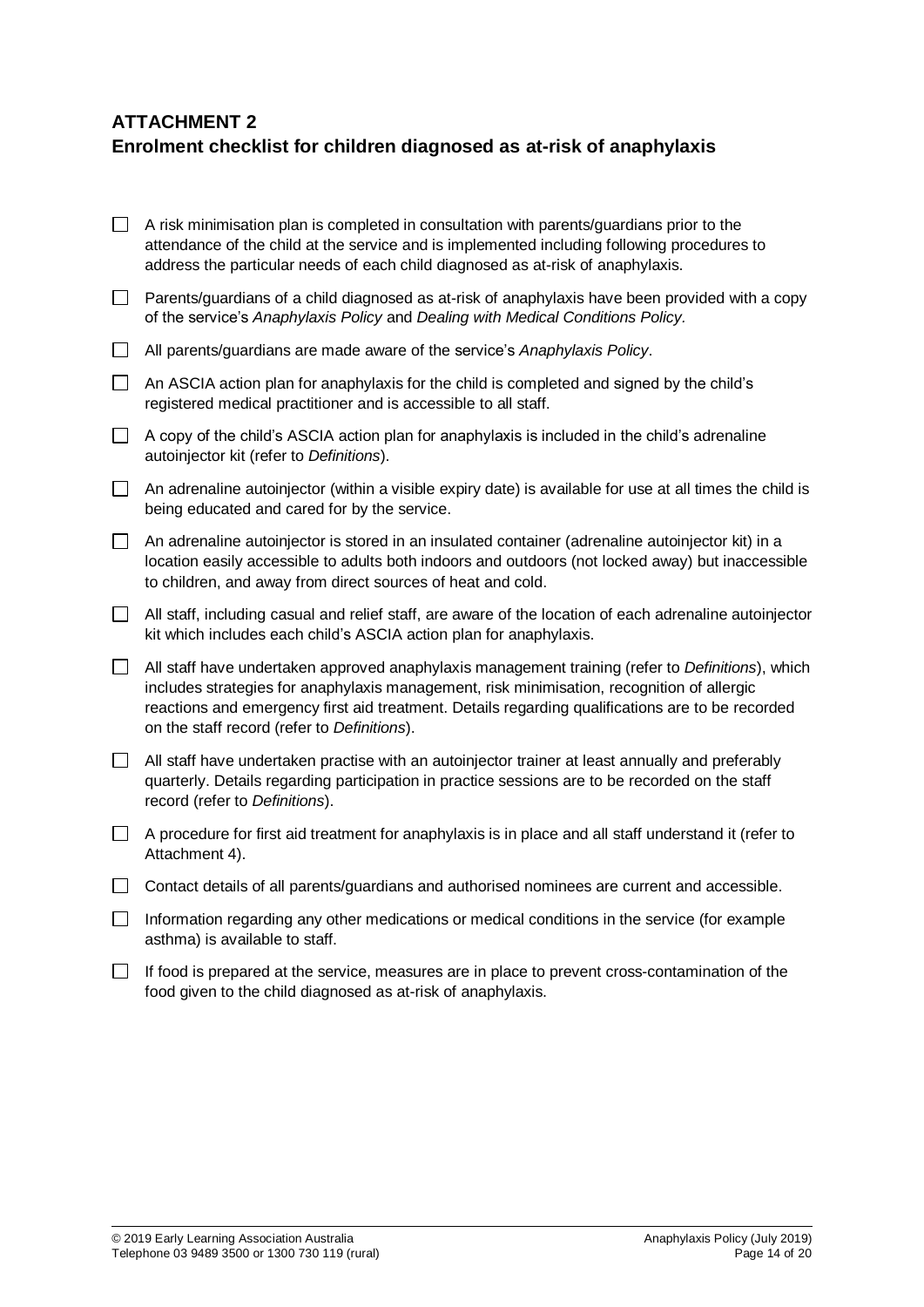# **ATTACHMENT 2**

# **Enrolment checklist for children diagnosed as at-risk of anaphylaxis**

|                             | A risk minimisation plan is completed in consultation with parents/guardians prior to the<br>attendance of the child at the service and is implemented including following procedures to<br>address the particular needs of each child diagnosed as at-risk of anaphylaxis.                                                                       |
|-----------------------------|---------------------------------------------------------------------------------------------------------------------------------------------------------------------------------------------------------------------------------------------------------------------------------------------------------------------------------------------------|
| $\Box$                      | Parents/guardians of a child diagnosed as at-risk of anaphylaxis have been provided with a copy<br>of the service's Anaphylaxis Policy and Dealing with Medical Conditions Policy.                                                                                                                                                                |
| $\Box$                      | All parents/guardians are made aware of the service's Anaphylaxis Policy.                                                                                                                                                                                                                                                                         |
| $\Box$                      | An ASCIA action plan for anaphylaxis for the child is completed and signed by the child's<br>registered medical practitioner and is accessible to all staff.                                                                                                                                                                                      |
| $\Box$                      | A copy of the child's ASCIA action plan for anaphylaxis is included in the child's adrenaline<br>autoinjector kit (refer to Definitions).                                                                                                                                                                                                         |
| $\Box$                      | An adrenaline autoinjector (within a visible expiry date) is available for use at all times the child is<br>being educated and cared for by the service.                                                                                                                                                                                          |
| $\Box$                      | An adrenaline autoinjector is stored in an insulated container (adrenaline autoinjector kit) in a<br>location easily accessible to adults both indoors and outdoors (not locked away) but inaccessible<br>to children, and away from direct sources of heat and cold.                                                                             |
| $\mathcal{L}_{\mathcal{A}}$ | All staff, including casual and relief staff, are aware of the location of each adrenaline autoinjector<br>kit which includes each child's ASCIA action plan for anaphylaxis.                                                                                                                                                                     |
| $\Box$                      | All staff have undertaken approved anaphylaxis management training (refer to Definitions), which<br>includes strategies for anaphylaxis management, risk minimisation, recognition of allergic<br>reactions and emergency first aid treatment. Details regarding qualifications are to be recorded<br>on the staff record (refer to Definitions). |
| $\overline{\phantom{a}}$    | All staff have undertaken practise with an autoinjector trainer at least annually and preferably<br>quarterly. Details regarding participation in practice sessions are to be recorded on the staff<br>record (refer to Definitions).                                                                                                             |
| $\Box$                      | A procedure for first aid treatment for anaphylaxis is in place and all staff understand it (refer to<br>Attachment 4).                                                                                                                                                                                                                           |
| $\Box$                      | Contact details of all parents/guardians and authorised nominees are current and accessible.                                                                                                                                                                                                                                                      |
| $\mathsf{L}$                | Information regarding any other medications or medical conditions in the service (for example<br>asthma) is available to staff.                                                                                                                                                                                                                   |
|                             | $\Box$ . If for a final property and the field of the set of the                                                                                                                                                                                                                                                                                  |

 $\Box$  If food is prepared at the service, measures are in place to prevent cross-contamination of the food given to the child diagnosed as at-risk of anaphylaxis.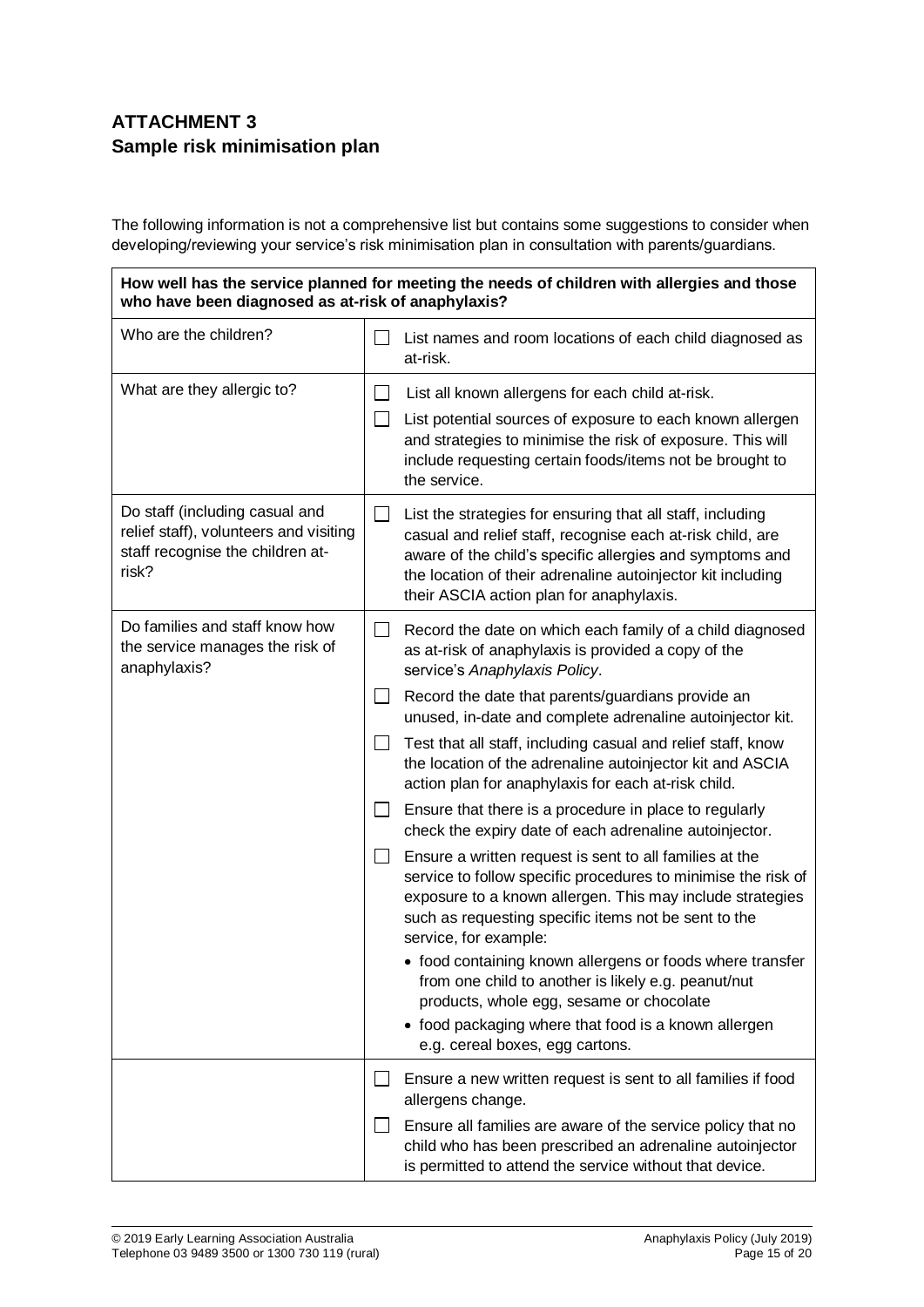# **ATTACHMENT 3 Sample risk minimisation plan**

The following information is not a comprehensive list but contains some suggestions to consider when developing/reviewing your service's risk minimisation plan in consultation with parents/guardians.

**How well has the service planned for meeting the needs of children with allergies and those who have been diagnosed as at-risk of anaphylaxis?**

| Who are the children?                                                                                                 |        | List names and room locations of each child diagnosed as<br>at-risk.                                                                                                                                                                                                                            |  |
|-----------------------------------------------------------------------------------------------------------------------|--------|-------------------------------------------------------------------------------------------------------------------------------------------------------------------------------------------------------------------------------------------------------------------------------------------------|--|
| What are they allergic to?                                                                                            | $\sim$ | List all known allergens for each child at-risk.<br>List potential sources of exposure to each known allergen<br>and strategies to minimise the risk of exposure. This will<br>include requesting certain foods/items not be brought to<br>the service.                                         |  |
| Do staff (including casual and<br>relief staff), volunteers and visiting<br>staff recognise the children at-<br>risk? |        | List the strategies for ensuring that all staff, including<br>casual and relief staff, recognise each at-risk child, are<br>aware of the child's specific allergies and symptoms and<br>the location of their adrenaline autoinjector kit including<br>their ASCIA action plan for anaphylaxis. |  |
| Do families and staff know how<br>the service manages the risk of<br>anaphylaxis?                                     |        | Record the date on which each family of a child diagnosed<br>as at-risk of anaphylaxis is provided a copy of the<br>service's Anaphylaxis Policy.                                                                                                                                               |  |
|                                                                                                                       |        | Record the date that parents/guardians provide an<br>unused, in-date and complete adrenaline autoinjector kit.                                                                                                                                                                                  |  |
|                                                                                                                       |        | Test that all staff, including casual and relief staff, know<br>the location of the adrenaline autoinjector kit and ASCIA<br>action plan for anaphylaxis for each at-risk child.                                                                                                                |  |
|                                                                                                                       |        | Ensure that there is a procedure in place to regularly<br>check the expiry date of each adrenaline autoinjector.                                                                                                                                                                                |  |
|                                                                                                                       |        | Ensure a written request is sent to all families at the<br>service to follow specific procedures to minimise the risk of<br>exposure to a known allergen. This may include strategies<br>such as requesting specific items not be sent to the<br>service, for example:                          |  |
|                                                                                                                       |        | • food containing known allergens or foods where transfer<br>from one child to another is likely e.g. peanut/nut<br>products, whole egg, sesame or chocolate<br>• food packaging where that food is a known allergen<br>e.g. cereal boxes, egg cartons.                                         |  |
|                                                                                                                       |        | Ensure a new written request is sent to all families if food<br>allergens change.                                                                                                                                                                                                               |  |
|                                                                                                                       |        | Ensure all families are aware of the service policy that no<br>child who has been prescribed an adrenaline autoinjector<br>is permitted to attend the service without that device.                                                                                                              |  |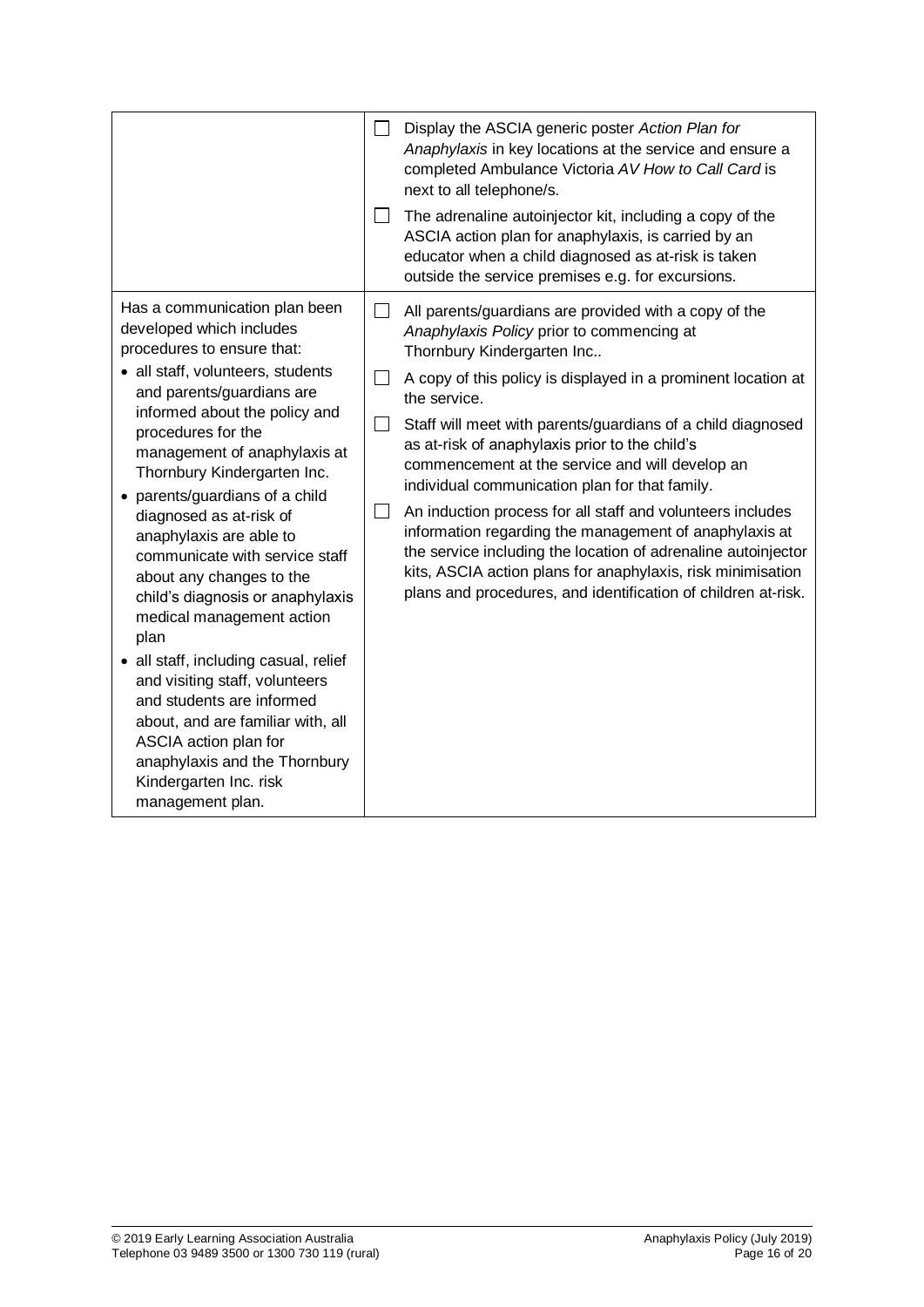|                                                                                                                                                                                                                                                                                                                                                                                                                                                                                                                                                                                                                                                                                                                                                                     |              | Display the ASCIA generic poster Action Plan for<br>Anaphylaxis in key locations at the service and ensure a<br>completed Ambulance Victoria AV How to Call Card is<br>next to all telephone/s.<br>The adrenaline autoinjector kit, including a copy of the<br>ASCIA action plan for anaphylaxis, is carried by an<br>educator when a child diagnosed as at-risk is taken                                                                                                                                                                                                                                                                                                                                                                                                                                             |
|---------------------------------------------------------------------------------------------------------------------------------------------------------------------------------------------------------------------------------------------------------------------------------------------------------------------------------------------------------------------------------------------------------------------------------------------------------------------------------------------------------------------------------------------------------------------------------------------------------------------------------------------------------------------------------------------------------------------------------------------------------------------|--------------|-----------------------------------------------------------------------------------------------------------------------------------------------------------------------------------------------------------------------------------------------------------------------------------------------------------------------------------------------------------------------------------------------------------------------------------------------------------------------------------------------------------------------------------------------------------------------------------------------------------------------------------------------------------------------------------------------------------------------------------------------------------------------------------------------------------------------|
| Has a communication plan been<br>developed which includes<br>procedures to ensure that:<br>• all staff, volunteers, students<br>and parents/guardians are<br>informed about the policy and<br>procedures for the<br>management of anaphylaxis at<br>Thornbury Kindergarten Inc.<br>• parents/guardians of a child<br>diagnosed as at-risk of<br>anaphylaxis are able to<br>communicate with service staff<br>about any changes to the<br>child's diagnosis or anaphylaxis<br>medical management action<br>plan<br>• all staff, including casual, relief<br>and visiting staff, volunteers<br>and students are informed<br>about, and are familiar with, all<br>ASCIA action plan for<br>anaphylaxis and the Thornbury<br>Kindergarten Inc. risk<br>management plan. | $\mathsf{L}$ | outside the service premises e.g. for excursions.<br>All parents/guardians are provided with a copy of the<br>Anaphylaxis Policy prior to commencing at<br>Thornbury Kindergarten Inc<br>A copy of this policy is displayed in a prominent location at<br>the service.<br>Staff will meet with parents/guardians of a child diagnosed<br>as at-risk of anaphylaxis prior to the child's<br>commencement at the service and will develop an<br>individual communication plan for that family.<br>An induction process for all staff and volunteers includes<br>information regarding the management of anaphylaxis at<br>the service including the location of adrenaline autoinjector<br>kits, ASCIA action plans for anaphylaxis, risk minimisation<br>plans and procedures, and identification of children at-risk. |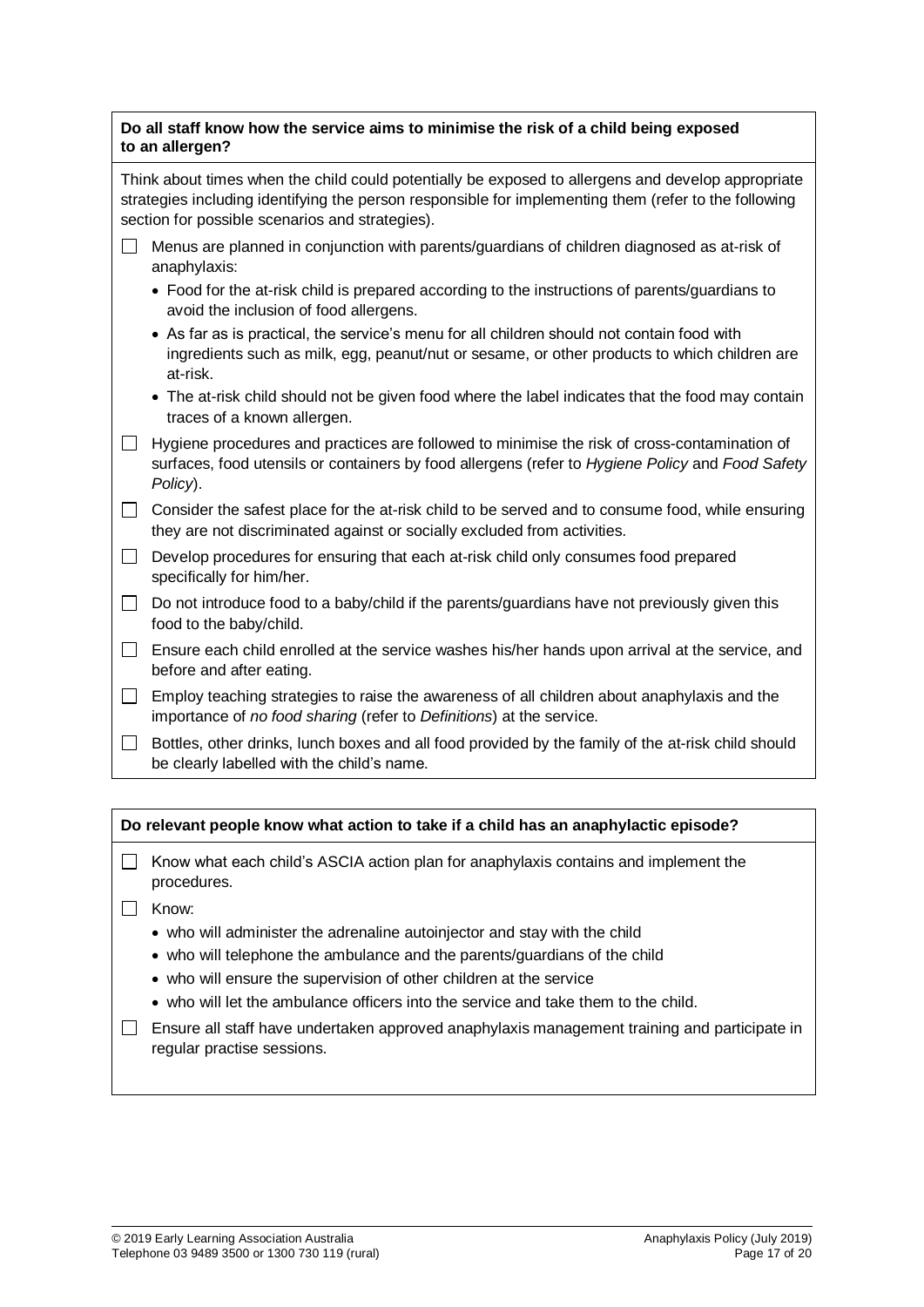## **Do all staff know how the service aims to minimise the risk of a child being exposed to an allergen?**

Think about times when the child could potentially be exposed to allergens and develop appropriate strategies including identifying the person responsible for implementing them (refer to the following section for possible scenarios and strategies).

- $\Box$  Menus are planned in conjunction with parents/guardians of children diagnosed as at-risk of anaphylaxis:
	- Food for the at-risk child is prepared according to the instructions of parents/guardians to avoid the inclusion of food allergens.
	- As far as is practical, the service's menu for all children should not contain food with ingredients such as milk, egg, peanut/nut or sesame, or other products to which children are at-risk.
	- The at-risk child should not be given food where the label indicates that the food may contain traces of a known allergen.
- $\Box$  Hygiene procedures and practices are followed to minimise the risk of cross-contamination of surfaces, food utensils or containers by food allergens (refer to *Hygiene Policy* and *Food Safety Policy*).

 $\Box$  Consider the safest place for the at-risk child to be served and to consume food, while ensuring they are not discriminated against or socially excluded from activities.

- $\Box$  Develop procedures for ensuring that each at-risk child only consumes food prepared specifically for him/her.
- $\Box$  Do not introduce food to a baby/child if the parents/guardians have not previously given this food to the baby/child.
- $\Box$  Ensure each child enrolled at the service washes his/her hands upon arrival at the service, and before and after eating.
- $\Box$  Employ teaching strategies to raise the awareness of all children about anaphylaxis and the importance of *no food sharing* (refer to *Definitions*) at the service.
- $\Box$  Bottles, other drinks, lunch boxes and all food provided by the family of the at-risk child should be clearly labelled with the child's name.

## **Do relevant people know what action to take if a child has an anaphylactic episode?**

- $\Box$  Know what each child's ASCIA action plan for anaphylaxis contains and implement the procedures.
- $\Box$  Know:
	- who will administer the adrenaline autoinjector and stay with the child
	- who will telephone the ambulance and the parents/guardians of the child
	- who will ensure the supervision of other children at the service
	- who will let the ambulance officers into the service and take them to the child.
- $\Box$  Ensure all staff have undertaken approved anaphylaxis management training and participate in regular practise sessions.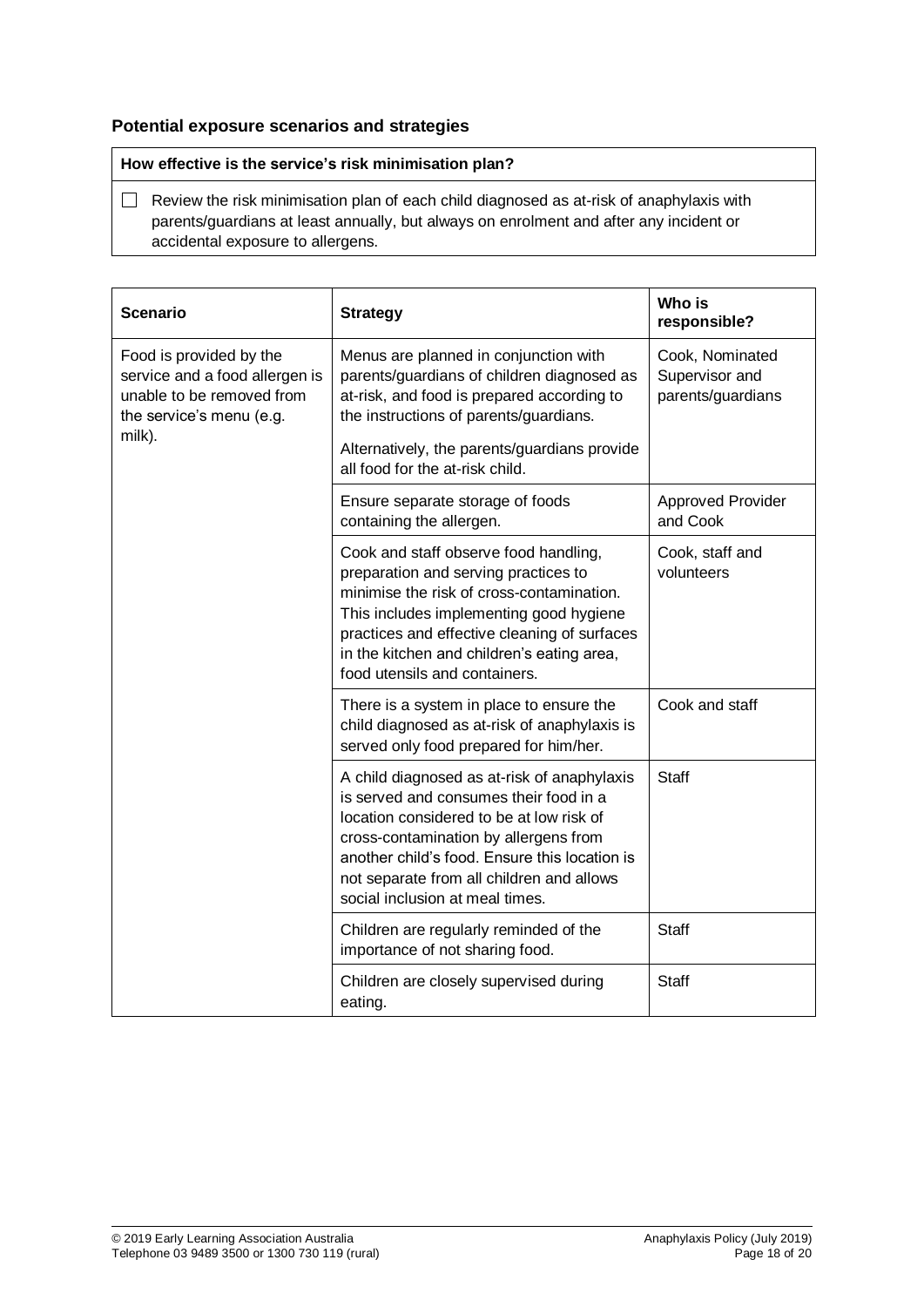## **Potential exposure scenarios and strategies**

## **How effective is the service's risk minimisation plan?**

Review the risk minimisation plan of each child diagnosed as at-risk of anaphylaxis with parents/guardians at least annually, but always on enrolment and after any incident or accidental exposure to allergens.

| <b>Scenario</b>                                                                                                    | <b>Strategy</b>                                                                                                                                                                                                                                                                                             | Who is<br>responsible?                                 |
|--------------------------------------------------------------------------------------------------------------------|-------------------------------------------------------------------------------------------------------------------------------------------------------------------------------------------------------------------------------------------------------------------------------------------------------------|--------------------------------------------------------|
| Food is provided by the<br>service and a food allergen is<br>unable to be removed from<br>the service's menu (e.g. | Menus are planned in conjunction with<br>parents/guardians of children diagnosed as<br>at-risk, and food is prepared according to<br>the instructions of parents/guardians.                                                                                                                                 | Cook, Nominated<br>Supervisor and<br>parents/guardians |
| milk).                                                                                                             | Alternatively, the parents/guardians provide<br>all food for the at-risk child.                                                                                                                                                                                                                             |                                                        |
|                                                                                                                    | Ensure separate storage of foods<br>containing the allergen.                                                                                                                                                                                                                                                | <b>Approved Provider</b><br>and Cook                   |
|                                                                                                                    | Cook and staff observe food handling,<br>preparation and serving practices to<br>minimise the risk of cross-contamination.<br>This includes implementing good hygiene<br>practices and effective cleaning of surfaces<br>in the kitchen and children's eating area,<br>food utensils and containers.        | Cook, staff and<br>volunteers                          |
|                                                                                                                    | There is a system in place to ensure the<br>child diagnosed as at-risk of anaphylaxis is<br>served only food prepared for him/her.                                                                                                                                                                          | Cook and staff                                         |
|                                                                                                                    | A child diagnosed as at-risk of anaphylaxis<br>is served and consumes their food in a<br>location considered to be at low risk of<br>cross-contamination by allergens from<br>another child's food. Ensure this location is<br>not separate from all children and allows<br>social inclusion at meal times. | <b>Staff</b>                                           |
|                                                                                                                    | Children are regularly reminded of the<br>importance of not sharing food.                                                                                                                                                                                                                                   | <b>Staff</b>                                           |
|                                                                                                                    | Children are closely supervised during<br>eating.                                                                                                                                                                                                                                                           | <b>Staff</b>                                           |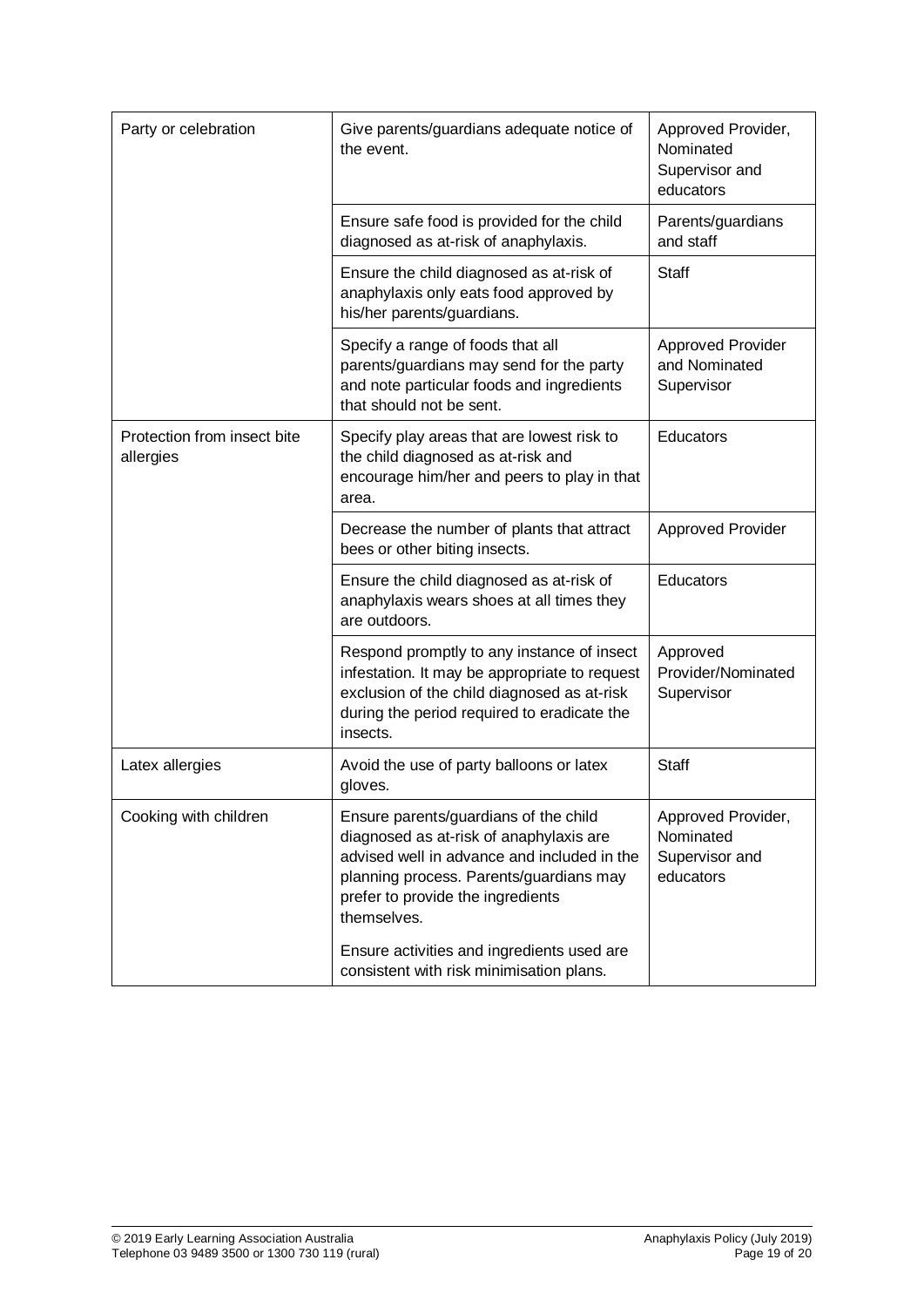| Party or celebration                     | Give parents/guardians adequate notice of<br>the event.                                                                                                                                                                                                                      | Approved Provider,<br>Nominated<br>Supervisor and<br>educators |
|------------------------------------------|------------------------------------------------------------------------------------------------------------------------------------------------------------------------------------------------------------------------------------------------------------------------------|----------------------------------------------------------------|
|                                          | Ensure safe food is provided for the child<br>diagnosed as at-risk of anaphylaxis.                                                                                                                                                                                           | Parents/guardians<br>and staff                                 |
|                                          | Ensure the child diagnosed as at-risk of<br>anaphylaxis only eats food approved by<br>his/her parents/guardians.                                                                                                                                                             | Staff                                                          |
|                                          | Specify a range of foods that all<br>parents/guardians may send for the party<br>and note particular foods and ingredients<br>that should not be sent.                                                                                                                       | <b>Approved Provider</b><br>and Nominated<br>Supervisor        |
| Protection from insect bite<br>allergies | Specify play areas that are lowest risk to<br>the child diagnosed as at-risk and<br>encourage him/her and peers to play in that<br>area.                                                                                                                                     | Educators                                                      |
|                                          | Decrease the number of plants that attract<br>bees or other biting insects.                                                                                                                                                                                                  | <b>Approved Provider</b>                                       |
|                                          | Ensure the child diagnosed as at-risk of<br>anaphylaxis wears shoes at all times they<br>are outdoors.                                                                                                                                                                       | Educators                                                      |
|                                          | Respond promptly to any instance of insect<br>infestation. It may be appropriate to request<br>exclusion of the child diagnosed as at-risk<br>during the period required to eradicate the<br>insects.                                                                        | Approved<br>Provider/Nominated<br>Supervisor                   |
| Latex allergies                          | Avoid the use of party balloons or latex<br>gloves.                                                                                                                                                                                                                          | <b>Staff</b>                                                   |
| Cooking with children                    | Ensure parents/guardians of the child<br>diagnosed as at-risk of anaphylaxis are<br>advised well in advance and included in the<br>planning process. Parents/guardians may<br>prefer to provide the ingredients<br>themselves.<br>Ensure activities and ingredients used are | Approved Provider,<br>Nominated<br>Supervisor and<br>educators |
|                                          | consistent with risk minimisation plans.                                                                                                                                                                                                                                     |                                                                |